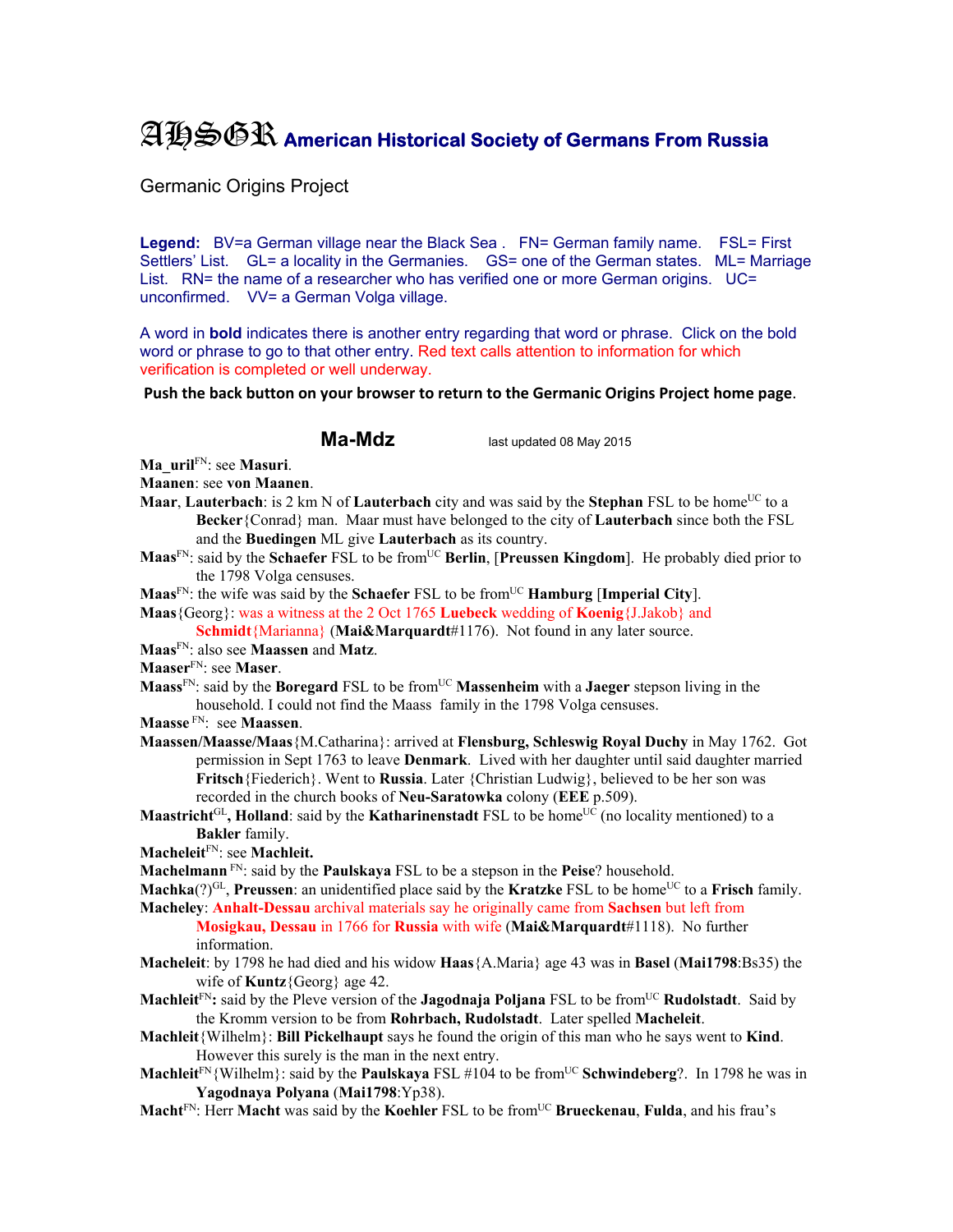## AHSGR **American Historical Society of Germans From Russia**

Germanic Origins Project

Legend: BV=a German village near the Black Sea . FN= German family name. FSL= First Settlers' List. GL= a locality in the Germanies. GS= one of the German states. ML= Marriage List. RN= the name of a researcher who has verified one or more German origins. UC= unconfirmed. VV= a German Volga village.

A word in **bold** indicates there is another entry regarding that word or phrase. Click on the bold word or phrase to go to that other entry. Red text calls attention to information for which verification is completed or well underway.

**Push the back button on your browser to return to the Germanic Origins Project home page**.

**Ma-Mdz** last updated 08 May 2015

**Ma\_uril**FN: see **Masuri**.

**Maanen**: see **von Maanen**.

- **Maar, Lauterbach**: is 2 km N of **Lauterbach** city and was said by the **Stephan** FSL to be home<sup>UC</sup> to a **Becker**{Conrad} man. Maar must have belonged to the city of **Lauterbach** since both the FSL and the **Buedingen** ML give **Lauterbach** as its country.
- **Maas**FN: said by the **Schaefer** FSL to be fromUC **Berlin**, [**Preussen Kingdom**]. He probably died prior to the 1798 Volga censuses.

**Maas**FN: the wife was said by the **Schaefer** FSL to be fromUC **Hamburg** [**Imperial City**].

**Maas**{Georg}: was a witness at the 2 Oct 1765 **Luebeck** wedding of **Koenig**{J.Jakob} and

**Schmidt**{Marianna} (**Mai&Marquardt**#1176). Not found in any later source.

**Maas**FN: also see **Maassen** and **Matz**.

**Maaser**FN: see **Maser**.

- **Maass**<sup>FN</sup>: said by the **Boregard** FSL to be from<sup>UC</sup> Massenheim with a **Jaeger** stepson living in the household. I could not find the Maass family in the 1798 Volga censuses.
- **Maasse** FN: see **Maassen**.
- **Maassen/Maasse/Maas**{M.Catharina}: arrived at **Flensburg, Schleswig Royal Duchy** in May 1762. Got permission in Sept 1763 to leave **Denmark**. Lived with her daughter until said daughter married **Fritsch**{Fiederich}. Went to **Russia**. Later {Christian Ludwig}, believed to be her son was recorded in the church books of **Neu-Saratowka** colony (**EEE** p.509).
- **Maastricht**<sup>GL</sup>, **Holland**: said by the **Katharinenstadt** FSL to be home<sup>UC</sup> (no locality mentioned) to a **Bakler** family.

**Macheleit**FN: see **Machleit.** 

**Machelmann** FN: said by the **Paulskaya** FSL to be a stepson in the **Peise**? household.

**Machka**(?)<sup>GL</sup>, **Preussen**: an unidentified place said by the **Kratzke** FSL to be home<sup>UC</sup> to a **Frisch** family. **Macheley**: **Anhalt-Dessau** archival materials say he originally came from **Sachsen** but left from

- **Mosigkau, Dessau** in 1766 for **Russia** with wife (**Mai&Marquardt**#1118). No further information.
- **Macheleit**: by 1798 he had died and his widow **Haas**{A.Maria} age 43 was in **Basel** (**Mai1798**:Bs35) the wife of **Kuntz**{Georg} age 42.
- **Machleit**<sup>FN</sup>: said by the Pleve version of the **Jagodnaja Poljana** FSL to be from<sup>UC</sup> **Rudolstadt**. Said by the Kromm version to be from **Rohrbach, Rudolstadt**. Later spelled **Macheleit**.
- **Machleit**{Wilhelm}: **Bill Pickelhaupt** says he found the origin of this man who he says went to **Kind**. However this surely is the man in the next entry.
- **Machleit**<sup>FN</sup>{Wilhelm}: said by the **Paulskaya** FSL #104 to be from<sup>UC</sup> **Schwindeberg**?. In 1798 he was in **Yagodnaya Polyana** (**Mai1798**:Yp38).
- **Macht**FN: Herr **Macht** was said by the **Koehler** FSL to be fromUC **Brueckenau**, **Fulda**, and his frau's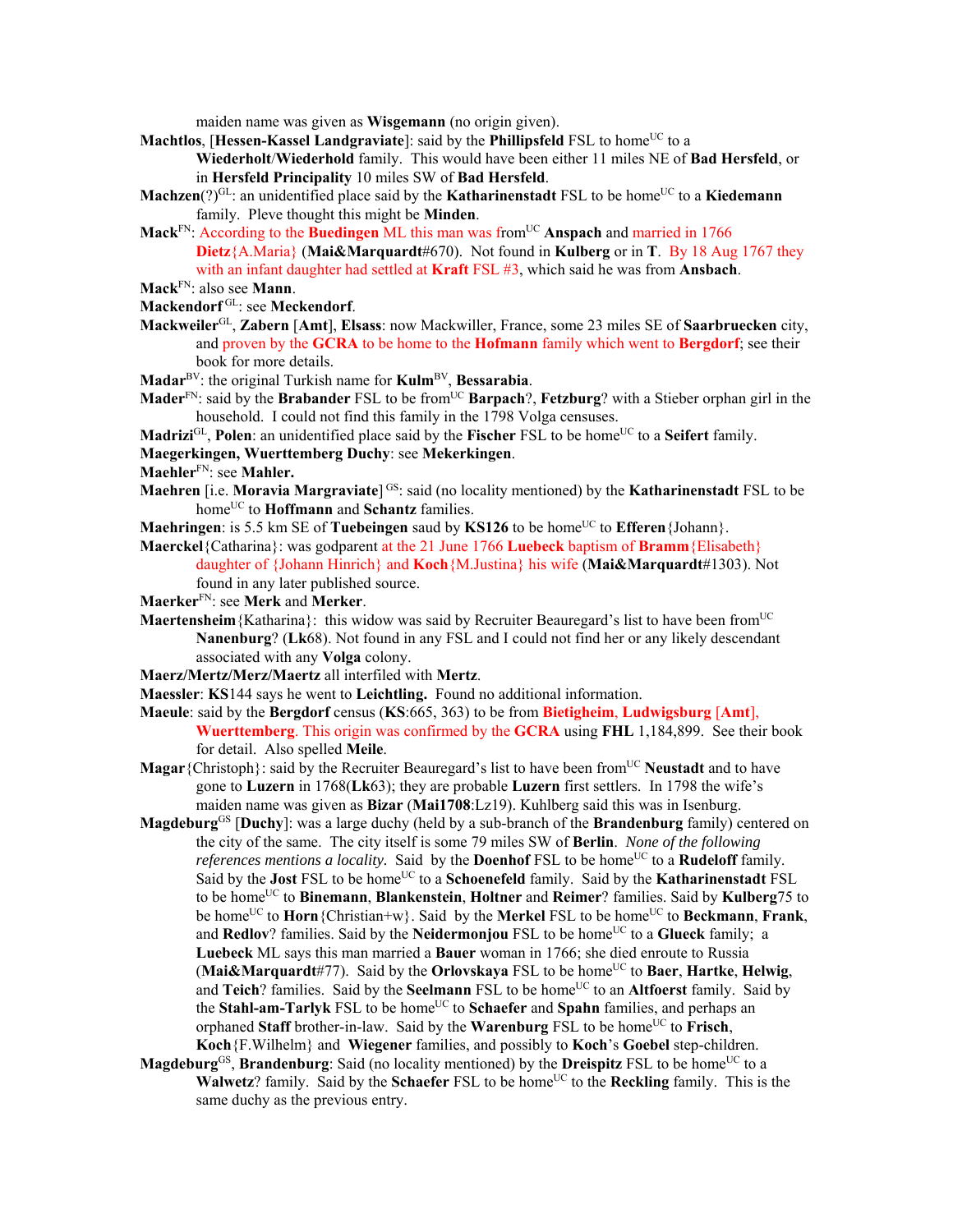maiden name was given as **Wisgemann** (no origin given).

**Machtlos**, [Hessen-Kassel Landgraviate]: said by the Phillipsfeld FSL to home<sup>UC</sup> to a

**Wiederholt**/**Wiederhold** family. This would have been either 11 miles NE of **Bad Hersfeld**, or in **Hersfeld Principality** 10 miles SW of **Bad Hersfeld**.

- **Machzen**(?) $\text{GL}:$  an unidentified place said by the **Katharinenstadt** FSL to be home<sup>UC</sup> to a **Kiedemann** family. Pleve thought this might be **Minden**.
- **Mack**<sup>FN</sup>: According to the **Buedingen** ML this man was from<sup>UC</sup> Anspach and married in 1766 **Dietz**{A.Maria} (**Mai&Marquardt**#670). Not found in **Kulberg** or in **T**. By 18 Aug 1767 they with an infant daughter had settled at **Kraft** FSL #3, which said he was from **Ansbach**.
- **Mack**FN: also see **Mann**.
- **Mackendorf** GL: see **Meckendorf**.
- **Mackweiler**GL, **Zabern** [**Amt**], **Elsass**: now Mackwiller, France, some 23 miles SE of **Saarbruecken** city, and proven by the **GCRA** to be home to the **Hofmann** family which went to **Bergdorf**; see their book for more details.
- **Madar**BV: the original Turkish name for **Kulm**BV, **Bessarabia**.
- **Mader**<sup>FN</sup>: said by the **Brabander** FSL to be from<sup>UC</sup> **Barpach**?, **Fetzburg**? with a Stieber orphan girl in the household. I could not find this family in the 1798 Volga censuses.
- **Madrizi**<sup>GL</sup>, **Polen**: an unidentified place said by the **Fischer** FSL to be home<sup>UC</sup> to a **Seifert** family.
- **Maegerkingen, Wuerttemberg Duchy**: see **Mekerkingen**.
- **Maehler**FN: see **Mahler.**
- **Maehren** [i.e. **Moravia Margraviate**]<sup>GS:</sup> said (no locality mentioned) by the **Katharinenstadt** FSL to be homeUC to **Hoffmann** and **Schantz** families.
- **Maehringen**: is 5.5 km SE of **Tuebeingen** saud by **KS126** to be home<sup>UC</sup> to **Efferen**{Johann}.
- **Maerckel**{Catharina}: was godparent at the 21 June 1766 **Luebeck** baptism of **Bramm**{Elisabeth} daughter of {Johann Hinrich} and **Koch**{M.Justina} his wife (**Mai&Marquardt**#1303). Not found in any later published source.
- **Maerker**FN: see **Merk** and **Merker**.
- **Maertensheim** {Katharina}: this widow was said by Recruiter Beauregard's list to have been from<sup>UC</sup> **Nanenburg**? (**Lk**68). Not found in any FSL and I could not find her or any likely descendant associated with any **Volga** colony.
- **Maerz/Mertz/Merz/Maertz** all interfiled with **Mertz**.
- **Maessler**: **KS**144 says he went to **Leichtling.** Found no additional information.
- **Maeule**: said by the **Bergdorf** census (**KS**:665, 363) to be from **Bietigheim**, **Ludwigsburg** [**Amt**], **Wuerttemberg**. This origin was confirmed by the **GCRA** using **FHL** 1,184,899. See their book for detail. Also spelled **Meile**.
- **Magar** {Christoph}: said by the Recruiter Beauregard's list to have been from<sup>UC</sup> **Neustadt** and to have gone to **Luzern** in 1768(**Lk**63); they are probable **Luzern** first settlers. In 1798 the wife's maiden name was given as **Bizar** (**Mai1708**:Lz19). Kuhlberg said this was in Isenburg.
- **Magdeburg**GS [**Duchy**]: was a large duchy (held by a sub-branch of the **Brandenburg** family) centered on the city of the same. The city itself is some 79 miles SW of **Berlin**. *None of the following references mentions a locality.* Said by the **Doenhof** FSL to be home<sup>UC</sup> to a **Rudeloff** family. Said by the **Jost** FSL to be home<sup>UC</sup> to a **Schoenefeld** family. Said by the **Katharinenstadt** FSL to be homeUC to **Binemann**, **Blankenstein**, **Holtner** and **Reimer**? families. Said by **Kulberg**75 to be home<sup>UC</sup> to **Horn**{Christian+w}. Said by the **Merkel** FSL to be home<sup>UC</sup> to **Beckmann**, **Frank**, and **Redlov**? families. Said by the **Neidermonjou** FSL to be home<sup>UC</sup> to a **Glueck** family; a **Luebeck** ML says this man married a **Bauer** woman in 1766; she died enroute to Russia **(Mai&Marquardt**#77). Said by the **Orlovskaya** FSL to be home<sup>UC</sup> to **Baer**, **Hartke**, **Helwig**, and **Teich**? families. Said by the **Seelmann** FSL to be home<sup>UC</sup> to an **Altfoerst** family. Said by the **Stahl-am-Tarlyk** FSL to be home<sup>UC</sup> to **Schaefer** and **Spahn** families, and perhaps an orphaned **Staff** brother-in-law. Said by the **Warenburg** FSL to be home<sup>UC</sup> to **Frisch**, **Koch**{F.Wilhelm} and **Wiegener** families, and possibly to **Koch**'s **Goebel** step-children.
- **Magdeburg**<sup>GS</sup>, **Brandenburg**: Said (no locality mentioned) by the **Dreispitz** FSL to be home<sup>UC</sup> to a **Walwetz**? family. Said by the **Schaefer** FSL to be home<sup>UC</sup> to the **Reckling** family. This is the same duchy as the previous entry.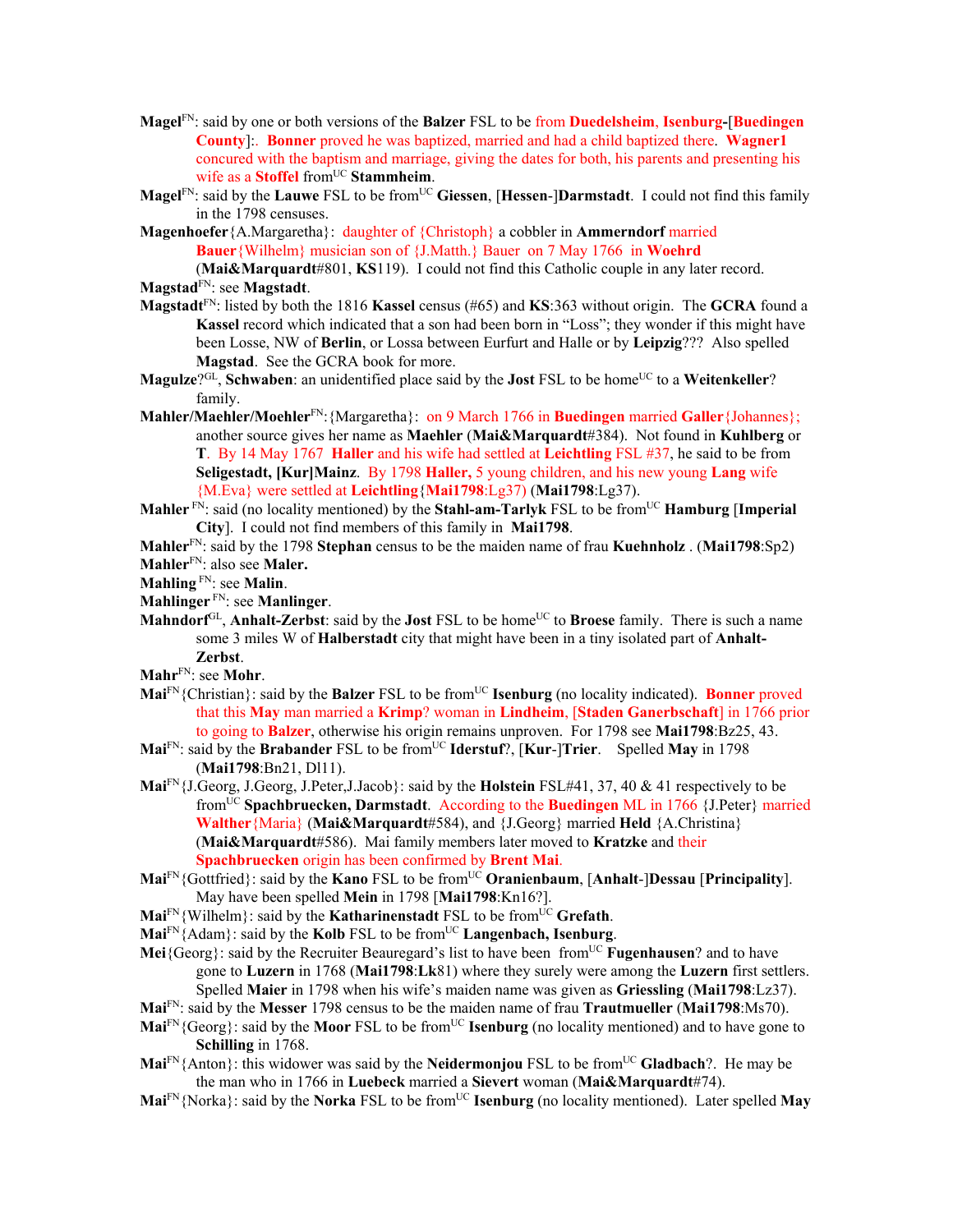- **Magel**FN: said by one or both versions of the **Balzer** FSL to be from **Duedelsheim**, **Isenburg-**[**Buedingen County**]:. **Bonner** proved he was baptized, married and had a child baptized there. **Wagner1** concured with the baptism and marriage, giving the dates for both, his parents and presenting his wife as a **Stoffel** from<sup>UC</sup> **Stammheim**.
- **Magel**<sup>FN</sup>: said by the **Lauwe** FSL to be from<sup>UC</sup> Giessen, [Hessen-]Darmstadt. I could not find this family in the 1798 censuses.
- **Magenhoefer**{A.Margaretha}: daughter of {Christoph} a cobbler in **Ammerndorf** married **Bauer**{Wilhelm} musician son of {J.Matth.} Bauer on 7 May 1766 in **Woehrd**

(**Mai&Marquardt**#801, **KS**119). I could not find this Catholic couple in any later record. **Magstad**FN: see **Magstadt**.

- **Magstadt**FN: listed by both the 1816 **Kassel** census (#65) and **KS**:363 without origin. The **GCRA** found a **Kassel** record which indicated that a son had been born in "Loss"; they wonder if this might have been Losse, NW of **Berlin**, or Lossa between Eurfurt and Halle or by **Leipzig**??? Also spelled **Magstad**. See the GCRA book for more.
- **Magulze**? $G^{\text{CL}}$ , **Schwaben**: an unidentified place said by the **Jost** FSL to be home<sup>UC</sup> to a **Weitenkeller**? family.
- **Mahler/Maehler/Moehler**FN:{Margaretha}: on 9 March 1766 in **Buedingen** married **Galler**{Johannes}; another source gives her name as **Maehler** (**Mai&Marquardt**#384). Not found in **Kuhlberg** or **T**. By 14 May 1767 **Haller** and his wife had settled at **Leichtling** FSL #37, he said to be from **Seligestadt, [Kur]Mainz**. By 1798 **Haller,** 5 young children, and his new young **Lang** wife {M.Eva} were settled at **Leichtling**{**Mai1798**:Lg37) (**Mai1798**:Lg37).
- **Mahler**  $\overline{PN}$ : said (no locality mentioned) by the **Stahl-am-Tarlyk** FSL to be from<sup>UC</sup> **Hamburg** [Imperial **City**]. I could not find members of this family in **Mai1798**.
- **Mahler**FN: said by the 1798 **Stephan** census to be the maiden name of frau **Kuehnholz** . (**Mai1798**:Sp2)
- **Mahler**FN: also see **Maler.**
- **Mahling** FN: see **Malin**.
- **Mahlinger** FN: see **Manlinger**.
- **Mahndorf**<sup>GL</sup>, **Anhalt-Zerbst**: said by the **Jost** FSL to be home<sup>UC</sup> to **Broese** family. There is such a name some 3 miles W of **Halberstadt** city that might have been in a tiny isolated part of **Anhalt-Zerbst**.
- **Mahr**FN: see **Mohr**.
- **Mai**<sup>FN</sup>{Christian}: said by the **Balzer** FSL to be from<sup>UC</sup> **Isenburg** (no locality indicated). **Bonner** proved that this **May** man married a **Krimp**? woman in **Lindheim**, [**Staden Ganerbschaft**] in 1766 prior to going to **Balzer**, otherwise his origin remains unproven. For 1798 see **Mai1798**:Bz25, 43.
- **Mai**FN: said by the **Brabander** FSL to be fromUC **Iderstuf**?, [**Kur**-]**Trier**. Spelled **May** in 1798 (**Mai1798**:Bn21, Dl11).
- **Mai**FN{J.Georg, J.Georg, J.Peter,J.Jacob}: said by the **Holstein** FSL#41, 37, 40 & 41 respectively to be fromUC **Spachbruecken, Darmstadt**. According to the **Buedingen** ML in 1766 {J.Peter} married **Walther**{Maria} (**Mai&Marquardt**#584), and {J.Georg} married **Held** {A.Christina} (**Mai&Marquardt**#586). Mai family members later moved to **Kratzke** and their **Spachbruecken** origin has been confirmed by **Brent Mai**.
- **Mai**FN{Gottfried}: said by the **Kano** FSL to be fromUC **Oranienbaum**, [**Anhalt**-]**Dessau** [**Principality**]. May have been spelled **Mein** in 1798 [**Mai1798**:Kn16?].
- **Mai**<sup>FN</sup>{Wilhelm}: said by the **Katharinenstadt** FSL to be from<sup>UC</sup> Grefath.
- **Mai**FN{Adam}: said by the **Kolb** FSL to be fromUC **Langenbach, Isenburg**.
- Mei<sup>{Georg}</sup>: said by the Recruiter Beauregard's list to have been from<sup>UC</sup> **Fugenhausen**? and to have gone to **Luzern** in 1768 (**Mai1798**:**Lk**81) where they surely were among the **Luzern** first settlers. Spelled **Maier** in 1798 when his wife's maiden name was given as **Griessling** (**Mai1798**:Lz37).
- **Mai**FN: said by the **Messer** 1798 census to be the maiden name of frau **Trautmueller** (**Mai1798**:Ms70).
- **Mai**<sup>FN</sup>{Georg}: said by the **Moor** FSL to be from<sup>UC</sup> **Isenburg** (no locality mentioned) and to have gone to **Schilling** in 1768.
- **Mai**<sup>FN</sup>{Anton}: this widower was said by the **Neidermonjou** FSL to be from<sup>UC</sup> Gladbach?. He may be the man who in 1766 in **Luebeck** married a **Sievert** woman (**Mai&Marquardt**#74).
- **Mai**<sup>FN</sup>{Norka}: said by the **Norka** FSL to be from<sup>UC</sup> **Isenburg** (no locality mentioned). Later spelled **May**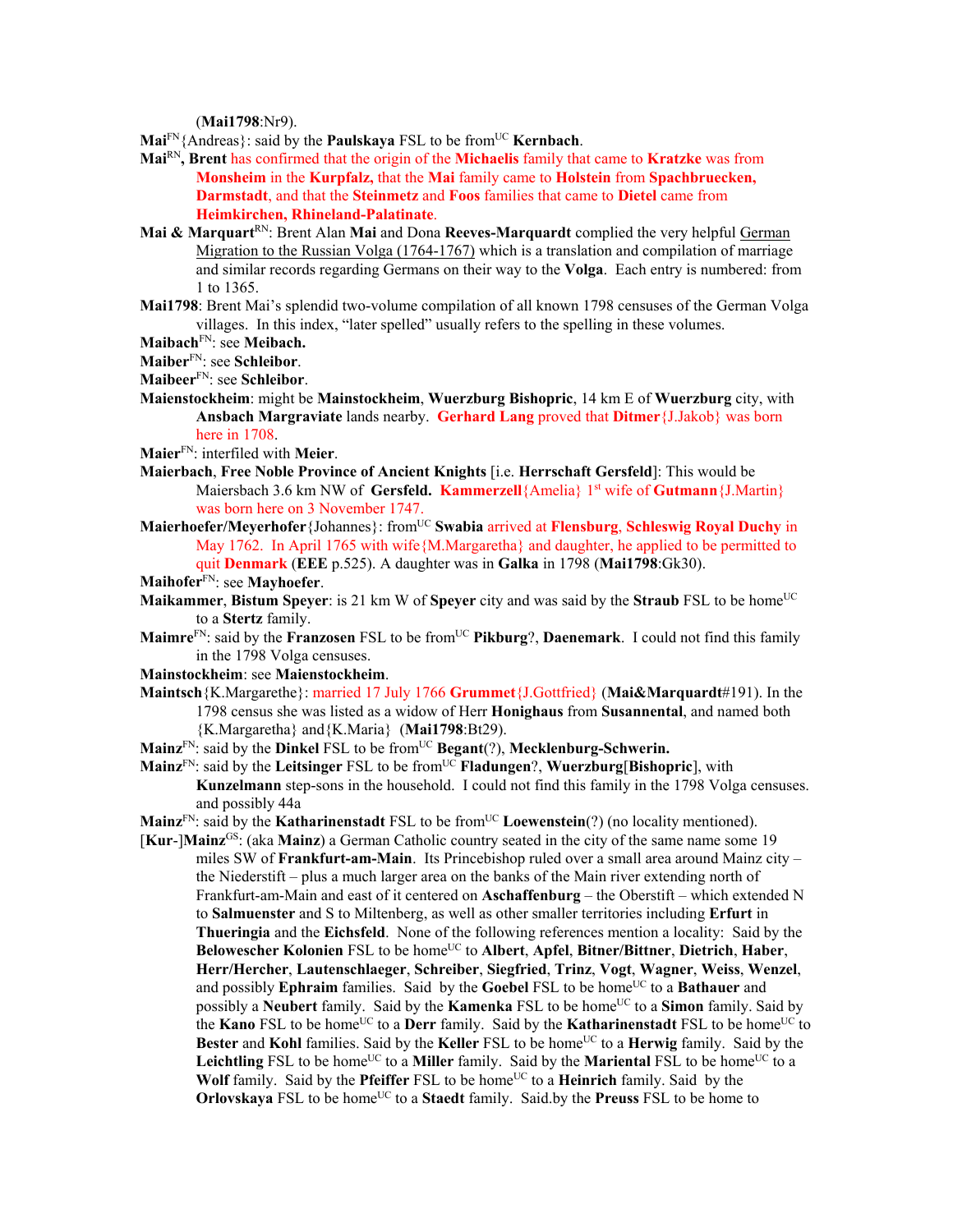(**Mai1798**:Nr9).

- **Mai**FN{Andreas}: said by the **Paulskaya** FSL to be fromUC **Kernbach**.
- **Mai**RN**, Brent** has confirmed that the origin of the **Michaelis** family that came to **Kratzke** was from **Monsheim** in the **Kurpfalz,** that the **Mai** family came to **Holstein** from **Spachbruecken, Darmstadt**, and that the **Steinmetz** and **Foos** families that came to **Dietel** came from **Heimkirchen, Rhineland-Palatinate**.
- **Mai & Marquart<sup>RN</sup>:** Brent Alan **Mai** and Dona **Reeves-Marquardt** complied the very helpful German Migration to the Russian Volga (1764-1767) which is a translation and compilation of marriage and similar records regarding Germans on their way to the **Volga**. Each entry is numbered: from 1 to 1365.
- **Mai1798**: Brent Mai's splendid two-volume compilation of all known 1798 censuses of the German Volga villages. In this index, "later spelled" usually refers to the spelling in these volumes.
- **Maibach**FN: see **Meibach.**
- **Maiber**FN: see **Schleibor**.

**Maibeer**FN: see **Schleibor**.

- **Maienstockheim**: might be **Mainstockheim**, **Wuerzburg Bishopric**, 14 km E of **Wuerzburg** city, with **Ansbach Margraviate** lands nearby. **Gerhard Lang** proved that **Ditmer**{J.Jakob} was born here in 1708.
- **Maier**FN: interfiled with **Meier**.
- **Maierbach**, **Free Noble Province of Ancient Knights** [i.e. **Herrschaft Gersfeld**]: This would be Maiersbach 3.6 km NW of **Gersfeld. Kammerzell**{Amelia} 1<sup>st</sup> wife of **Gutmann**{J.Martin} was born here on 3 November 1747.
- **Maierhoefer/Meyerhofer**{Johannes}: fromUC **Swabia** arrived at **Flensburg**, **Schleswig Royal Duchy** in May 1762. In April 1765 with wife{M.Margaretha} and daughter, he applied to be permitted to quit **Denmark** (**EEE** p.525). A daughter was in **Galka** in 1798 (**Mai1798**:Gk30).

**Maihofer**FN: see **Mayhoefer**.

- **Maikammer**, **Bistum Speyer**: is 21 km W of **Speyer** city and was said by the **Straub** FSL to be home<sup>UC</sup> to a **Stertz** family.
- **Maimre**<sup>FN</sup>: said by the **Franzosen** FSL to be from<sup>UC</sup> **Pikburg**?, **Daenemark**. I could not find this family in the 1798 Volga censuses.
- **Mainstockheim**: see **Maienstockheim**.
- **Maintsch**{K.Margarethe}: married 17 July 1766 **Grummet**{J.Gottfried} (**Mai&Marquardt**#191). In the 1798 census she was listed as a widow of Herr **Honighaus** from **Susannental**, and named both {K.Margaretha} and{K.Maria} (**Mai1798**:Bt29).
- **Mainz**<sup>FN</sup>: said by the **Dinkel** FSL to be from<sup>UC</sup> **Begant**(?), **Mecklenburg-Schwerin.**
- **Mainz**FN: said by the **Leitsinger** FSL to be fromUC **Fladungen**?, **Wuerzburg**[**Bishopric**], with **Kunzelmann** step-sons in the household. I could not find this family in the 1798 Volga censuses. and possibly 44a
- **Mainz**<sup>FN</sup>: said by the **Katharinenstadt** FSL to be from<sup>UC</sup> **Loewenstein**(?) (no locality mentioned).
- [**Kur**-]**Mainz**GS: (aka **Mainz**) a German Catholic country seated in the city of the same name some 19 miles SW of **Frankfurt-am-Main**. Its Princebishop ruled over a small area around Mainz city – the Niederstift – plus a much larger area on the banks of the Main river extending north of Frankfurt-am-Main and east of it centered on **Aschaffenburg** – the Oberstift – which extended N to **Salmuenster** and S to Miltenberg, as well as other smaller territories including **Erfurt** in **Thueringia** and the **Eichsfeld**. None of the following references mention a locality: Said by the **Belowescher Kolonien** FSL to be homeUC to **Albert**, **Apfel**, **Bitner/Bittner**, **Dietrich**, **Haber**, **Herr/Hercher**, **Lautenschlaeger**, **Schreiber**, **Siegfried**, **Trinz**, **Vogt**, **Wagner**, **Weiss**, **Wenzel**, and possibly **Ephraim** families. Said by the **Goebel** FSL to be home<sup>UC</sup> to a **Bathauer** and possibly a **Neubert** family. Said by the **Kamenka** FSL to be home<sup>UC</sup> to a **Simon** family. Said by the **Kano** FSL to be home<sup>UC</sup> to a **Derr** family. Said by the **Katharinenstadt** FSL to be home<sup>UC</sup> to **Bester** and **Kohl** families. Said by the **Keller** FSL to be home<sup>UC</sup> to a **Herwig** family. Said by the Leichtling FSL to be home<sup>UC</sup> to a Miller family. Said by the Mariental FSL to be home<sup>UC</sup> to a **Wolf** family. Said by the **Pfeiffer** FSL to be home<sup>UC</sup> to a **Heinrich** family. Said by the **Orlovskaya** FSL to be home<sup>UC</sup> to a **Staedt** family. Said by the **Preuss** FSL to be home to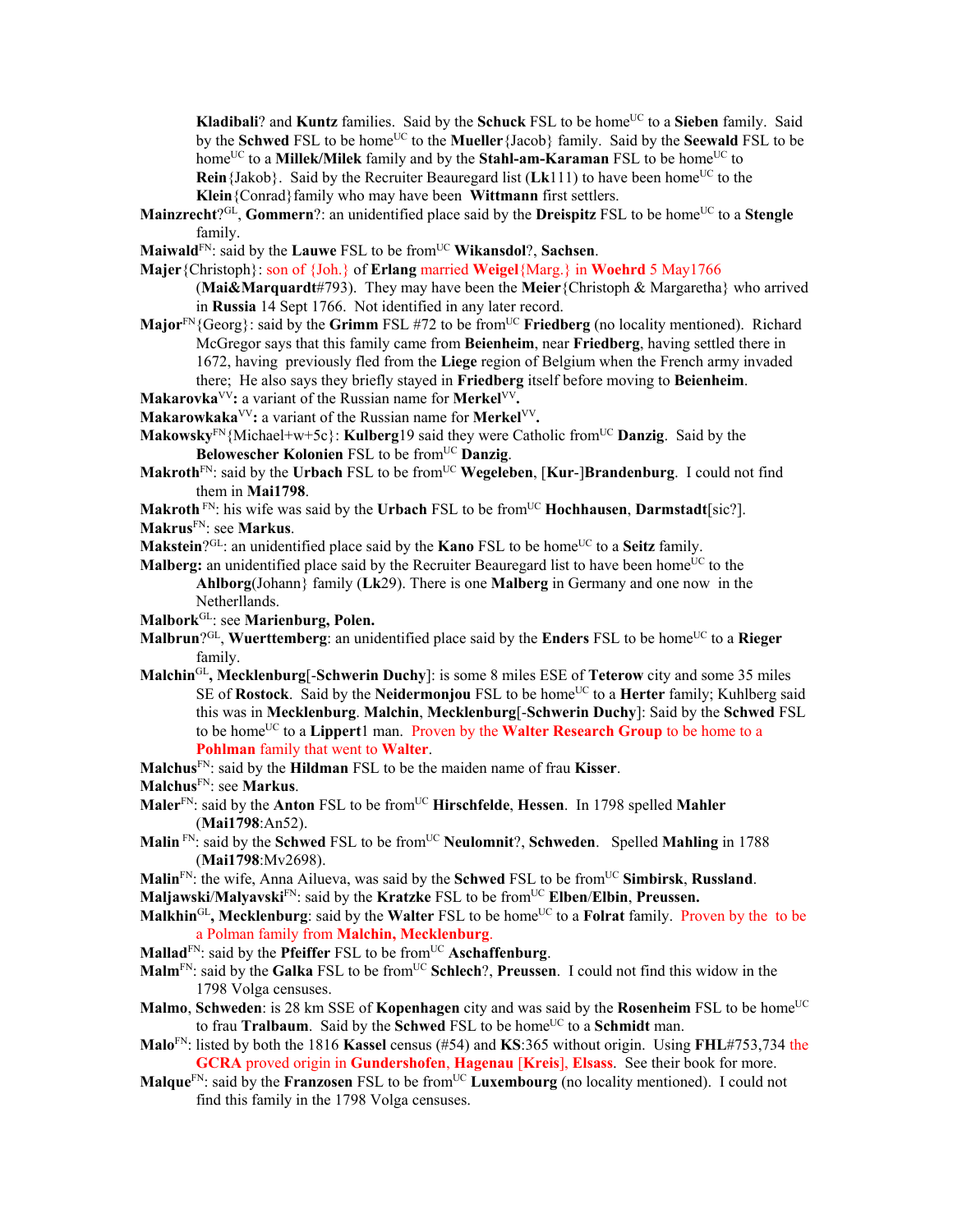**Kladibali**? and **Kuntz** families. Said by the **Schuck** FSL to be home<sup>UC</sup> to a **Sieben** family. Said by the **Schwed** FSL to be home<sup>UC</sup> to the **Mueller** {Jacob} family. Said by the **Seewald** FSL to be home<sup>UC</sup> to a **Millek/Milek** family and by the **Stahl-am-Karaman** FSL to be home<sup>UC</sup> to **Rein**{Jakob}. Said by the Recruiter Beauregard list ( $Lk111$ ) to have been home<sup>UC</sup> to the **Klein**{Conrad}family who may have been **Wittmann** first settlers.

- **Mainzrecht**?<sup>GL</sup>, **Gommern**?: an unidentified place said by the **Dreispitz** FSL to be home<sup>UC</sup> to a **Stengle** family.
- **Maiwald**FN: said by the **Lauwe** FSL to be fromUC **Wikansdol**?, **Sachsen**.
- **Majer**{Christoph}: son of {Joh.} of **Erlang** married **Weigel**{Marg.} in **Woehrd** 5 May1766

(**Mai&Marquardt**#793). They may have been the **Meier**{Christoph & Margaretha} who arrived in **Russia** 14 Sept 1766. Not identified in any later record.

- **Major**<sup>FN</sup>{Georg}: said by the **Grimm** FSL #72 to be from<sup>UC</sup> **Friedberg** (no locality mentioned). Richard McGregor says that this family came from **Beienheim**, near **Friedberg**, having settled there in 1672, having previously fled from the **Liege** region of Belgium when the French army invaded there; He also says they briefly stayed in **Friedberg** itself before moving to **Beienheim**.
- **Makarovka**VV**:** a variant of the Russian name for **Merkel**VV**.**
- **Makarowkaka**VV**:** a variant of the Russian name for **Merkel**VV**.**
- **Makowsky**FN{Michael+w+5c}: **Kulberg**19 said they were Catholic from<sup>UC</sup> **Danzig**. Said by the **Belowescher Kolonien** FSL to be from<sup>UC</sup> Danzig.
- **Makroth**FN: said by the **Urbach** FSL to be fromUC **Wegeleben**, [**Kur**-]**Brandenburg**. I could not find them in **Mai1798**.
- **Makroth** FN: his wife was said by the **Urbach** FSL to be fromUC **Hochhausen**, **Darmstadt**[sic?]. **Makrus**FN: see **Markus**.
- **Makstein**?<sup>GL</sup>: an unidentified place said by the **Kano** FSL to be home<sup>UC</sup> to a **Seitz** family.
- **Malberg:** an unidentified place said by the Recruiter Beauregard list to have been home<sup>UC</sup> to the **Ahlborg**(Johann} family (**Lk**29). There is one **Malberg** in Germany and one now in the Netherllands.
- **Malbork**GL: see **Marienburg, Polen.**
- **Malbrun**<sup>OGL</sup>, **Wuerttemberg**: an unidentified place said by the **Enders** FSL to be home<sup>UC</sup> to a **Rieger** family.
- **Malchin**GL**, Mecklenburg**[-**Schwerin Duchy**]: is some 8 miles ESE of **Teterow** city and some 35 miles SE of **Rostock**. Said by the **Neidermonjou** FSL to be home<sup>UC</sup> to a **Herter** family; Kuhlberg said this was in **Mecklenburg**. **Malchin**, **Mecklenburg**[-**Schwerin Duchy**]: Said by the **Schwed** FSL to be homeUC to a **Lippert**1 man. Proven by the **Walter Research Group** to be home to a **Pohlman** family that went to **Walter**.
- **Malchus**FN: said by the **Hildman** FSL to be the maiden name of frau **Kisser**.
- **Malchus**FN: see **Markus**.
- **Maler**FN: said by the **Anton** FSL to be fromUC **Hirschfelde**, **Hessen**.In 1798 spelled **Mahler** (**Mai1798**:An52).
- **Malin** FN: said by the **Schwed** FSL to be from<sup>UC</sup> **Neulomnit**?, **Schweden**. Spelled **Mahling** in 1788 (**Mai1798**:Mv2698).
- **Malin**FN: the wife, Anna Ailueva, was said by the **Schwed** FSL to be fromUC **Simbirsk**, **Russland**.
- **Maljawski/Malyavski**<sup>FN</sup>: said by the **Kratzke** FSL to be from<sup>UC</sup> **Elben/Elbin**, **Preussen.**
- **Malkhin**<sup>GL</sup>, Mecklenburg: said by the Walter FSL to be home<sup>UC</sup> to a Folrat family. Proven by the to be a Polman family from **Malchin, Mecklenburg**.
- **Mallad**<sup>FN</sup>: said by the **Pfeiffer** FSL to be from<sup>UC</sup> **Aschaffenburg**.
- **Malm**FN: said by the **Galka** FSL to be fromUC **Schlech**?, **Preussen**. I could not find this widow in the 1798 Volga censuses.
- **Malmo**, **Schweden**: is 28 km SSE of **Kopenhagen** city and was said by the **Rosenheim** FSL to be home<sup>UC</sup> to frau **Tralbaum**. Said by the **Schwed** FSL to be home<sup>UC</sup> to a **Schmidt** man.
- **Malo**FN: listed by both the 1816 **Kassel** census (#54) and **KS**:365 without origin. Using **FHL**#753,734 the **GCRA** proved origin in **Gundershofen**, **Hagenau** [**Kreis**], **Elsass**. See their book for more.
- **Malque**<sup>FN</sup>: said by the **Franzosen** FSL to be from<sup>UC</sup> **Luxembourg** (no locality mentioned). I could not find this family in the 1798 Volga censuses.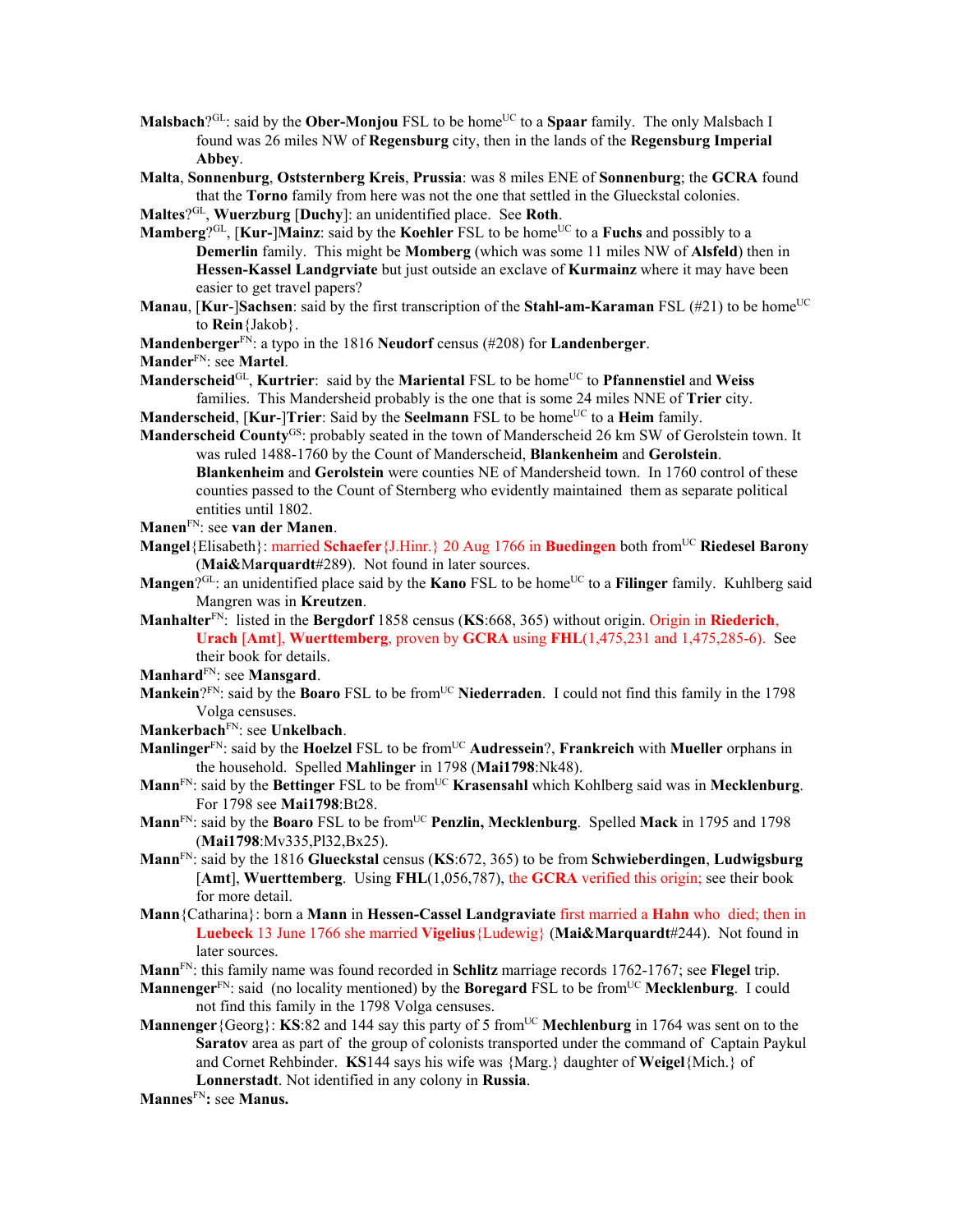- **Malsbach**?<sup>GL</sup>: said by the **Ober-Monjou** FSL to be home<sup>UC</sup> to a **Spaar** family. The only Malsbach I found was 26 miles NW of **Regensburg** city, then in the lands of the **Regensburg Imperial Abbey**.
- **Malta**, **Sonnenburg**, **Oststernberg Kreis**, **Prussia**: was 8 miles ENE of **Sonnenburg**; the **GCRA** found that the **Torno** family from here was not the one that settled in the Glueckstal colonies.
- **Maltes**?GL, **Wuerzburg** [**Duchy**]: an unidentified place. See **Roth**.
- **Mamberg**<sup>2GL</sup>, [**Kur-**]**Mainz**: said by the **Koehler** FSL to be home<sup>UC</sup> to a **Fuchs** and possibly to a **Demerlin** family. This might be **Momberg** (which was some 11 miles NW of **Alsfeld**) then in **Hessen-Kassel Landgrviate** but just outside an exclave of **Kurmainz** where it may have been easier to get travel papers?
- **Manau**, [Kur-]Sachsen: said by the first transcription of the Stahl-am-Karaman FSL (#21) to be home<sup>UC</sup> to **Rein**{Jakob}.
- **Mandenberger**FN: a typo in the 1816 **Neudorf** census (#208) for **Landenberger**.
- **Mander**FN: see **Martel**.
- **Manderscheid**<sup>GL</sup>, **Kurtrier**: said by the **Mariental** FSL to be home<sup>UC</sup> to **Pfannenstiel** and **Weiss** families. This Mandersheid probably is the one that is some 24 miles NNE of **Trier** city.
- **Manderscheid, [Kur-]Trier**: Said by the **Seelmann** FSL to be home<sup>UC</sup> to a **Heim** family.
- **Manderscheid County<sup>GS</sup>:** probably seated in the town of Manderscheid 26 km SW of Gerolstein town. It was ruled 1488-1760 by the Count of Manderscheid, **Blankenheim** and **Gerolstein**.
	- **Blankenheim** and **Gerolstein** were counties NE of Mandersheid town. In 1760 control of these counties passed to the Count of Sternberg who evidently maintained them as separate political entities until 1802.
- **Manen**FN: see **van der Manen**.
- **Mangel**{Elisabeth}: married **Schaefer**{J.Hinr.} 20 Aug 1766 in **Buedingen** both fromUC **Riedesel Barony** (**Mai&**M**arquardt**#289). Not found in later sources.
- **Mangen**?GL: an unidentified place said by the **Kano** FSL to be home<sup>UC</sup> to a **Filinger** family. Kuhlberg said Mangren was in **Kreutzen**.
- **Manhalter**FN: listed in the **Bergdorf** 1858 census (**KS**:668, 365) without origin. Origin in **Riederich**, **Urach** [**Amt**], **Wuerttemberg**, proven by **GCRA** using **FHL**(1,475,231 and 1,475,285-6). See their book for details.
- **Manhard**FN: see **Mansgard**.
- **Mankein**?FN: said by the **Boaro** FSL to be from<sup>UC</sup> Niederraden. I could not find this family in the 1798 Volga censuses.
- **Mankerbach**FN: see **Unkelbach**.
- **Manlinger**FN: said by the **Hoelzel** FSL to be fromUC **Audressein**?, **Frankreich** with **Mueller** orphans in the household. Spelled **Mahlinger** in 1798 (**Mai1798**:Nk48).
- **Mann**FN: said by the **Bettinger** FSL to be fromUC **Krasensahl** which Kohlberg said was in **Mecklenburg**. For 1798 see **Mai1798**:Bt28.
- **Mann**<sup>FN</sup>: said by the **Boaro** FSL to be from<sup>UC</sup> **Penzlin, Mecklenburg**. Spelled **Mack** in 1795 and 1798 (**Mai1798**:Mv335,Pl32,Bx25).
- **Mann**FN: said by the 1816 **Glueckstal** census (**KS**:672, 365) to be from **Schwieberdingen**, **Ludwigsburg** [**Amt**], **Wuerttemberg**. Using **FHL**(1,056,787), the **GCRA** verified this origin; see their book for more detail.
- **Mann**{Catharina}: born a **Mann** in **Hessen-Cassel Landgraviate** first married a **Hahn** who died; then in **Luebeck** 13 June 1766 she married **Vigelius**{Ludewig} (**Mai&Marquardt**#244). Not found in later sources.
- **Mann**FN: this family name was found recorded in **Schlitz** marriage records 1762-1767; see **Flegel** trip.
- **Mannenger**<sup>FN</sup>: said (no locality mentioned) by the **Boregard** FSL to be from<sup>UC</sup> Mecklenburg. I could not find this family in the 1798 Volga censuses.
- **Mannenger** {Georg}: **KS**:82 and 144 say this party of 5 from<sup>UC</sup> Mechlenburg in 1764 was sent on to the **Saratov** area as part of the group of colonists transported under the command of Captain Paykul and Cornet Rehbinder. **KS**144 says his wife was {Marg.} daughter of **Weigel**{Mich.} of **Lonnerstadt**. Not identified in any colony in **Russia**.
- **Mannes**FN**:** see **Manus.**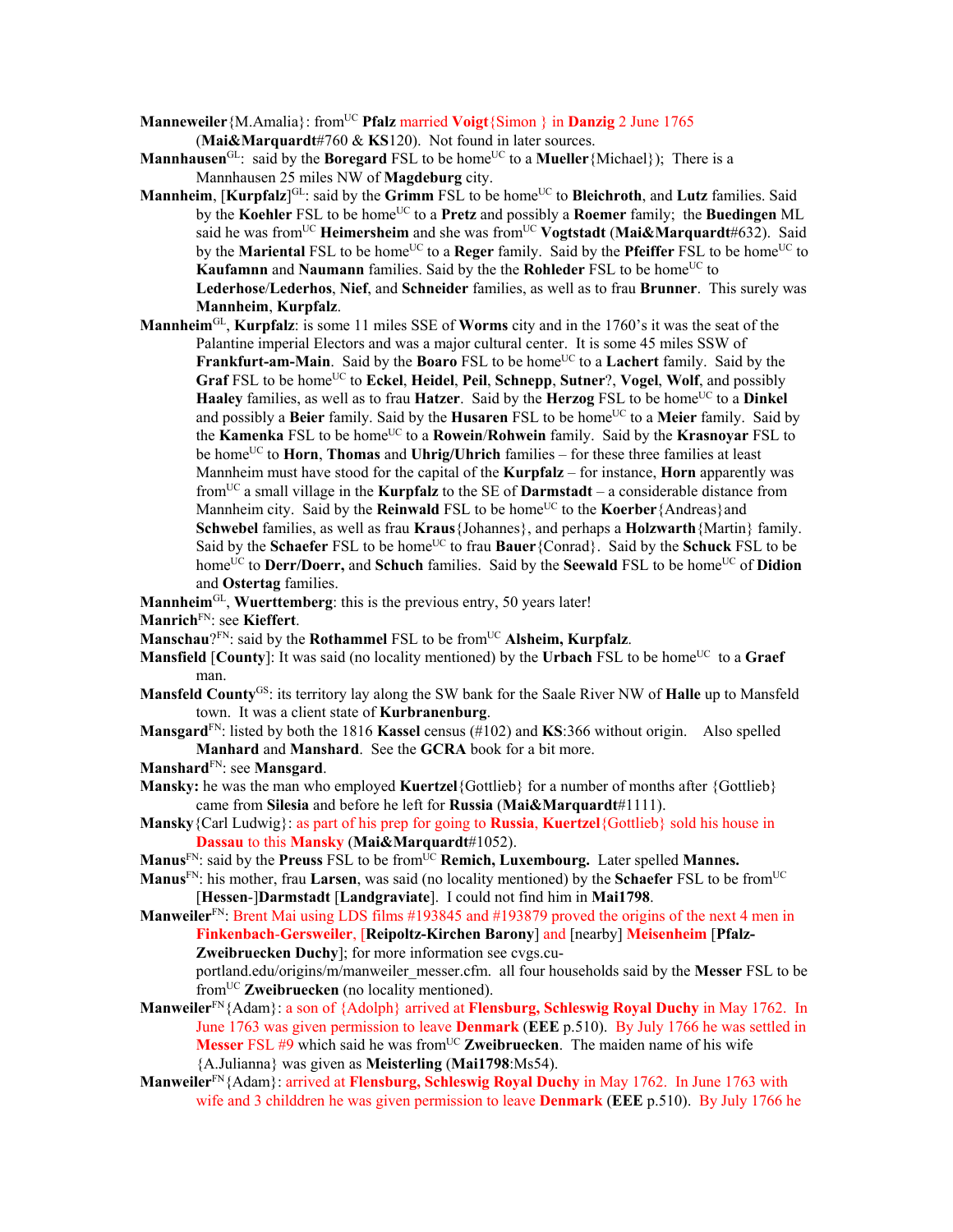- **Manneweiler** {M.Amalia}: from<sup>UC</sup> **Pfalz** married **Voigt** {Simon } in **Danzig** 2 June 1765
	- (**Mai&Marquardt**#760 & **KS**120). Not found in later sources.
- **Mannhausen**<sup>GL</sup>: said by the **Boregard** FSL to be home<sup>UC</sup> to a **Mueller** {Michael}); There is a Mannhausen 25 miles NW of **Magdeburg** city.
- **Mannheim**, [**Kurpfalz**]<sup>GL</sup>: said by the **Grimm** FSL to be home<sup>UC</sup> to **Bleichroth**, and **Lutz** families. Said by the **Koehler** FSL to be home<sup>UC</sup> to a **Pretz** and possibly a **Roemer** family; the **Buedingen** ML said he was from<sup>UC</sup> **Heimersheim** and she was from<sup>UC</sup> **Vogtstadt** (Mai&Marquardt#632). Said by the **Mariental** FSL to be home<sup>UC</sup> to a **Reger** family. Said by the **Pfeiffer** FSL to be home<sup>UC</sup> to **Kaufamnn** and **Naumann** families. Said by the the **Rohleder** FSL to be home<sup>UC</sup> to **Lederhose**/**Lederhos**, **Nief**, and **Schneider** families, as well as to frau **Brunner**. This surely was **Mannheim**, **Kurpfalz**.
- **Mannheim**GL, **Kurpfalz**: is some 11 miles SSE of **Worms** city and in the 1760's it was the seat of the Palantine imperial Electors and was a major cultural center. It is some 45 miles SSW of **Frankfurt-am-Main**. Said by the **Boaro** FSL to be home<sup>UC</sup> to a **Lachert** family. Said by the **Graf** FSL to be home<sup>UC</sup> to **Eckel**, **Heidel**, **Peil**, **Schnepp**, **Sutner**?, **Vogel**, **Wolf**, and possibly **Haaley** families, as well as to frau **Hatzer**. Said by the **Herzog** FSL to be home<sup>UC</sup> to a **Dinkel** and possibly a **Beier** family. Said by the **Husaren** FSL to be home<sup>UC</sup> to a **Meier** family. Said by the **Kamenka** FSL to be homeUC to a **Rowein**/**Rohwein** family. Said by the **Krasnoyar** FSL to be home<sup>UC</sup> to **Horn**, **Thomas** and **Uhrig/Uhrich** families – for these three families at least Mannheim must have stood for the capital of the **Kurpfalz** – for instance, **Horn** apparently was fromUC a small village in the **Kurpfalz** to the SE of **Darmstadt** – a considerable distance from Mannheim city. Said by the **Reinwald** FSL to be home<sup>UC</sup> to the **Koerber**{Andreas}and **Schwebel** families, as well as frau **Kraus**{Johannes}, and perhaps a **Holzwarth**{Martin} family. Said by the **Schaefer** FSL to be home<sup>UC</sup> to frau **Bauer**{Conrad}. Said by the **Schuck** FSL to be home<sup>UC</sup> to **Derr/Doerr, and Schuch** families. Said by the **Seewald** FSL to be home<sup>UC</sup> of **Didion** and **Ostertag** families.

**Mannheim**GL, **Wuerttemberg**: this is the previous entry, 50 years later!

- **Manrich**FN: see **Kieffert**.
- **Manschau**?FN: said by the **Rothammel** FSL to be from<sup>UC</sup> Alsheim, Kurpfalz.
- **Mansfield** [**County**]: It was said (no locality mentioned) by the **Urbach** FSL to be home<sup>UC</sup> to a **Graef** man.
- **Mansfeld County**GS: its territory lay along the SW bank for the Saale River NW of **Halle** up to Mansfeld town. It was a client state of **Kurbranenburg**.
- **Mansgard**FN: listed by both the 1816 **Kassel** census (#102) and **KS**:366 without origin. Also spelled **Manhard** and **Manshard**. See the **GCRA** book for a bit more.
- **Manshard**FN: see **Mansgard**.
- **Mansky:** he was the man who employed **Kuertzel**{Gottlieb} for a number of months after {Gottlieb} came from **Silesia** and before he left for **Russia** (**Mai&Marquardt**#1111).
- **Mansky**{Carl Ludwig}: as part of his prep for going to **Russia**, **Kuertzel**{Gottlieb} sold his house in **Dassau** to this **Mansky** (**Mai&Marquardt**#1052).
- Manus<sup>FN</sup>: said by the **Preuss** FSL to be from<sup>UC</sup> **Remich, Luxembourg.** Later spelled Mannes.
- **Manus**FN: his mother, frau **Larsen**, was said (no locality mentioned) by the **Schaefer** FSL to be fromUC [**Hessen**-]**Darmstadt** [**Landgraviate**]. I could not find him in **Mai1798**.
- **Manweiler**<sup>FN</sup>: Brent Mai using LDS films #193845 and #193879 proved the origins of the next 4 men in **Finkenbach**-**Gersweiler**, [**Reipoltz-Kirchen Barony**] and [nearby] **Meisenheim** [**Pfalz-Zweibruecken Duchy**]; for more information see cvgs.cu-

portland.edu/origins/m/manweiler\_messer.cfm. all four households said by the **Messer** FSL to be fromUC **Zweibruecken** (no locality mentioned).

- **Manweiler**FN{Adam}: a son of {Adolph} arrived at **Flensburg, Schleswig Royal Duchy** in May 1762. In June 1763 was given permission to leave **Denmark** (**EEE** p.510). By July 1766 he was settled in **Messer** FSL #9 which said he was from<sup>UC</sup> **Zweibruecken**. The maiden name of his wife {A.Julianna} was given as **Meisterling** (**Mai1798**:Ms54).
- **Manweiler**FN{Adam}: arrived at **Flensburg, Schleswig Royal Duchy** in May 1762. In June 1763 with wife and 3 childdren he was given permission to leave **Denmark** (**EEE** p.510). By July 1766 he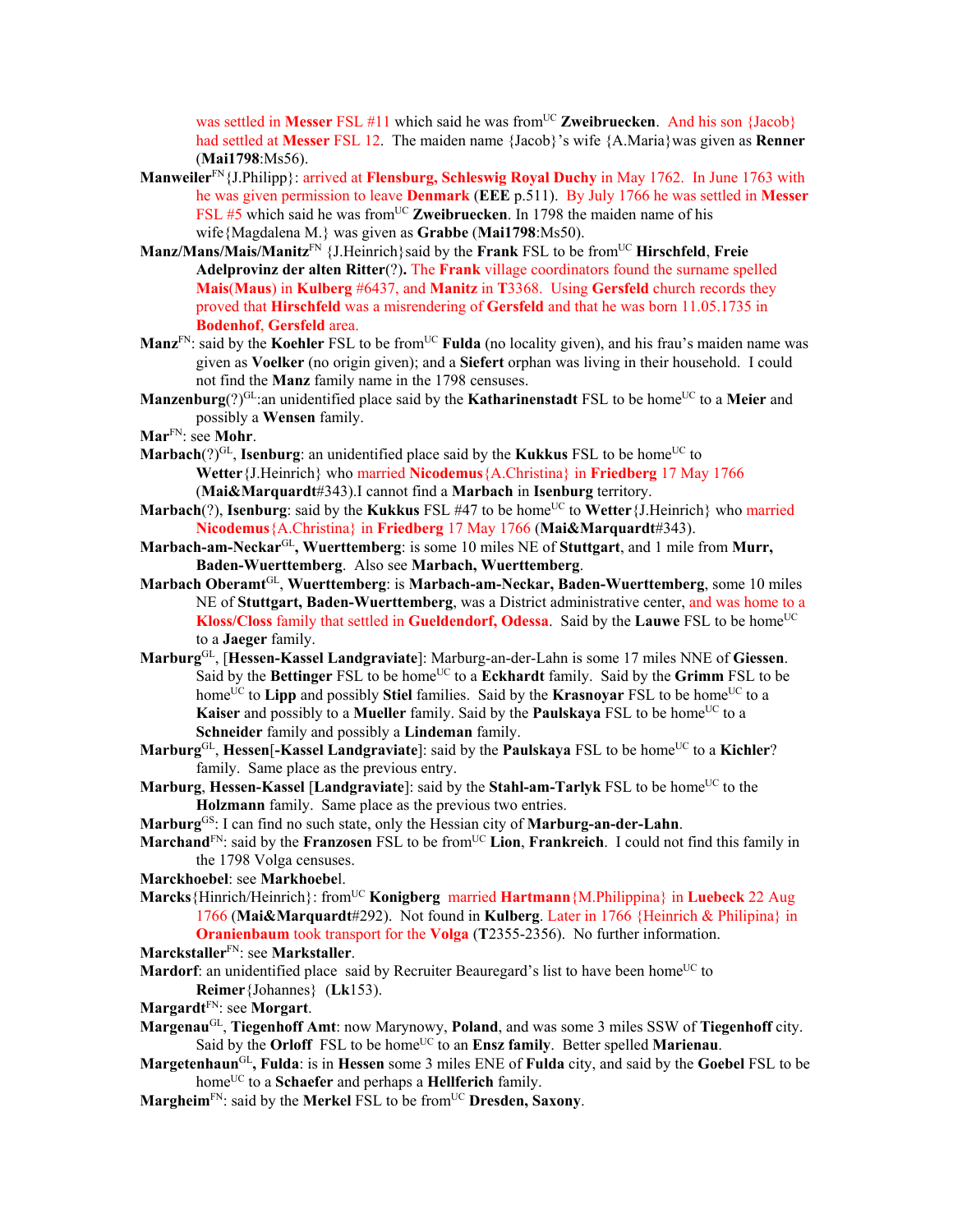was settled in Messer FSL #11 which said he was from<sup>UC</sup> Zweibruecken. And his son {Jacob} had settled at **Messer** FSL 12. The maiden name {Jacob}'s wife {A.Maria}was given as **Renner** (**Mai1798**:Ms56).

- **Manweiler**FN{J.Philipp}: arrived at **Flensburg, Schleswig Royal Duchy** in May 1762. In June 1763 with he was given permission to leave **Denmark** (**EEE** p.511). By July 1766 he was settled in **Messer** FSL #5 which said he was from<sup>UC</sup> Zweibruecken. In 1798 the maiden name of his wife{Magdalena M.} was given as **Grabbe** (**Mai1798**:Ms50).
- **Manz/Mans/Mais/Manitz**FN {J.Heinrich}said by the **Frank** FSL to be fromUC **Hirschfeld**, **Freie Adelprovinz der alten Ritter**(?)**.** The **Frank** village coordinators found the surname spelled **Mais**(**Maus**) in **Kulberg** #6437, and **Manitz** in **T**3368. Using **Gersfeld** church records they proved that **Hirschfeld** was a misrendering of **Gersfeld** and that he was born 11.05.1735 in **Bodenhof**, **Gersfeld** area.
- **Manz**<sup>FN</sup>: said by the **Koehler** FSL to be from<sup>UC</sup> **Fulda** (no locality given), and his frau's maiden name was given as **Voelker** (no origin given); and a **Siefert** orphan was living in their household. I could not find the **Manz** family name in the 1798 censuses.
- **Manzenburg**(?)<sup>GL</sup>:an unidentified place said by the **Katharinenstadt** FSL to be home<sup>UC</sup> to a Meier and possibly a **Wensen** family.
- **Mar**FN: see **Mohr**.
- **Marbach** $(?)^{GL}$ , **Isenburg**: an unidentified place said by the **Kukkus** FSL to be home<sup>UC</sup> to **Wetter**{J.Heinrich} who married **Nicodemus**{A.Christina} in **Friedberg** 17 May 1766 (**Mai&Marquardt**#343).I cannot find a **Marbach** in **Isenburg** territory.
- **Marbach**(?), **Isenburg**: said by the **Kukkus** FSL #47 to be home<sup>UC</sup> to **Wetter**{J.Heinrich} who married **Nicodemus**{A.Christina} in **Friedberg** 17 May 1766 (**Mai&Marquardt**#343).
- **Marbach-am-Neckar**GL**, Wuerttemberg**: is some 10 miles NE of **Stuttgart**, and 1 mile from **Murr, Baden-Wuerttemberg**. Also see **Marbach, Wuerttemberg**.
- **Marbach Oberamt**GL, **Wuerttemberg**: is **Marbach-am-Neckar, Baden-Wuerttemberg**, some 10 miles NE of **Stuttgart, Baden-Wuerttemberg**, was a District administrative center, and was home to a **Kloss/Closs** family that settled in **Gueldendorf, Odessa**. Said by the **Lauwe** FSL to be home<sup>UC</sup> to a **Jaeger** family.
- **Marburg**GL, [**Hessen-Kassel Landgraviate**]: Marburg-an-der-Lahn is some 17 miles NNE of **Giessen**. Said by the Bettinger FSL to be home<sup>UC</sup> to a Eckhardt family. Said by the Grimm FSL to be home<sup>UC</sup> to **Lipp** and possibly **Stiel** families. Said by the **Krasnovar** FSL to be home<sup>UC</sup> to a **Kaiser** and possibly to a **Mueller** family. Said by the **Paulskaya** FSL to be home<sup>UC</sup> to a **Schneider** family and possibly a **Lindeman** family.
- Marburg<sup>GL</sup>, **Hessen**[-Kassel Landgraviate]: said by the Paulskaya FSL to be home<sup>UC</sup> to a Kichler? family. Same place as the previous entry.
- **Marburg**, **Hessen-Kassel** [Landgraviate]: said by the **Stahl-am-Tarlyk** FSL to be home<sup>UC</sup> to the **Holzmann** family. Same place as the previous two entries.
- **Marburg**GS: I can find no such state, only the Hessian city of **Marburg-an-der-Lahn**.
- **Marchand**<sup>FN</sup>: said by the **Franzosen** FSL to be from<sup>UC</sup> Lion, **Frankreich**. I could not find this family in the 1798 Volga censuses.
- **Marckhoebel**: see **Markhoebe**l.
- **Marcks**{Hinrich/Heinrich}: fromUC **Konigberg** married **Hartmann**{M.Philippina} in **Luebeck** 22 Aug 1766 (**Mai&Marquardt**#292). Not found in **Kulberg**. Later in 1766 {Heinrich & Philipina} in **Oranienbaum** took transport for the **Volga** (**T**2355-2356). No further information.
- **Marckstaller**FN: see **Markstaller**.
- **Mardorf**: an unidentified place said by Recruiter Beauregard's list to have been home<sup>UC</sup> to **Reimer**{Johannes} (**Lk**153).
- **Margardt**FN: see **Morgart**.
- **Margenau**GL, **Tiegenhoff Amt**: now Marynowy, **Poland**, and was some 3 miles SSW of **Tiegenhoff** city. Said by the **Orloff** FSL to be home<sup>UC</sup> to an **Ensz family**. Better spelled **Marienau**.
- **Margetenhaun**GL**, Fulda**: is in **Hessen** some 3 miles ENE of **Fulda** city, and said by the **Goebel** FSL to be homeUC to a **Schaefer** and perhaps a **Hellferich** family.
- **Margheim**<sup>FN</sup>: said by the **Merkel** FSL to be from<sup>UC</sup> Dresden, Saxony.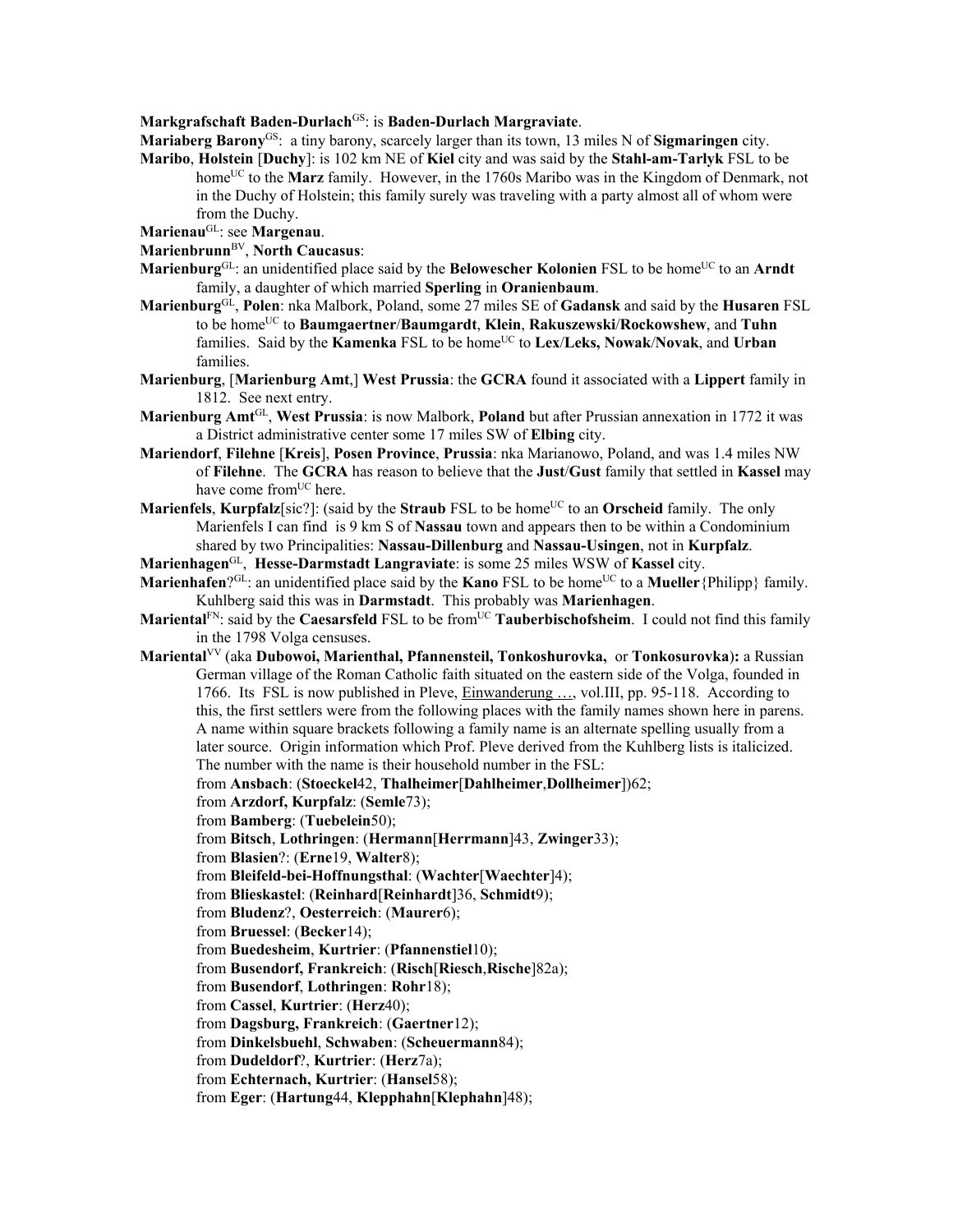## **Markgrafschaft Baden-Durlach**GS: is **Baden-Durlach Margraviate**.

**Mariaberg Barony**GS: a tiny barony, scarcely larger than its town, 13 miles N of **Sigmaringen** city.

**Maribo**, **Holstein** [**Duchy**]: is 102 km NE of **Kiel** city and was said by the **Stahl-am-Tarlyk** FSL to be home<sup>UC</sup> to the **Marz** family. However, in the 1760s Maribo was in the Kingdom of Denmark, not in the Duchy of Holstein; this family surely was traveling with a party almost all of whom were from the Duchy.

**Marienau**GL: see **Margenau**.

- **Marienbrunn**BV, **North Caucasus**:
- **Marienburg**<sup>GL</sup>: an unidentified place said by the **Belowescher Kolonien** FSL to be home<sup>UC</sup> to an **Arndt** family, a daughter of which married **Sperling** in **Oranienbaum**.
- **Marienburg**GL, **Polen**: nka Malbork, Poland, some 27 miles SE of **Gadansk** and said by the **Husaren** FSL to be homeUC to **Baumgaertner**/**Baumgardt**, **Klein**, **Rakuszewski**/**Rockowshew**, and **Tuhn** families. Said by the **Kamenka** FSL to be home<sup>UC</sup> to **Lex/Leks, Nowak/Novak**, and **Urban** families.
- **Marienburg**, [**Marienburg Amt**,] **West Prussia**: the **GCRA** found it associated with a **Lippert** family in 1812. See next entry.
- **Marienburg Amt**GL, **West Prussia**: is now Malbork, **Poland** but after Prussian annexation in 1772 it was a District administrative center some 17 miles SW of **Elbing** city.
- **Mariendorf**, **Filehne** [**Kreis**], **Posen Province**, **Prussia**: nka Marianowo, Poland, and was 1.4 miles NW of **Filehne**. The **GCRA** has reason to believe that the **Just**/**Gust** family that settled in **Kassel** may have come from<sup>UC</sup> here.
- **Marienfels, Kurpfalz**[sic?]: (said by the **Straub** FSL to be home<sup>UC</sup> to an **Orscheid** family. The only Marienfels I can find is 9 km S of **Nassau** town and appears then to be within a Condominium shared by two Principalities: **Nassau-Dillenburg** and **Nassau-Usingen**, not in **Kurpfalz**.
- **Marienhagen**GL, **Hesse-Darmstadt Langraviate**: is some 25 miles WSW of **Kassel** city.
- **Marienhafen**?GL: an unidentified place said by the **Kano** FSL to be home<sup>UC</sup> to a **Mueller**{Philipp} family. Kuhlberg said this was in **Darmstadt**. This probably was **Marienhagen**.
- **Mariental**<sup>FN</sup>: said by the **Caesarsfeld** FSL to be from<sup>UC</sup> **Tauberbischofsheim**. I could not find this family in the 1798 Volga censuses.
- **Mariental**VV (aka **Dubowoi, Marienthal, Pfannensteil, Tonkoshurovka,** or **Tonkosurovka**)**:** a Russian German village of the Roman Catholic faith situated on the eastern side of the Volga, founded in 1766. Its FSL is now published in Pleve, Einwanderung …, vol.III, pp. 95-118. According to this, the first settlers were from the following places with the family names shown here in parens. A name within square brackets following a family name is an alternate spelling usually from a later source. Origin information which Prof. Pleve derived from the Kuhlberg lists is italicized. The number with the name is their household number in the FSL:
	- from **Ansbach**: (**Stoeckel**42, **Thalheimer**[**Dahlheimer**,**Dollheimer**])62;
	- from **Arzdorf, Kurpfalz**: (**Semle**73);
	- from **Bamberg**: (**Tuebelein**50);
	- from **Bitsch**, **Lothringen**: (**Hermann**[**Herrmann**]43, **Zwinger**33);
	- from **Blasien**?: (**Erne**19, **Walter**8);
	- from **Bleifeld-bei-Hoffnungsthal**: (**Wachter**[**Waechter**]4);
	- from **Blieskastel**: (**Reinhard**[**Reinhardt**]36, **Schmidt**9);
	- from **Bludenz**?, **Oesterreich**: (**Maurer**6);

from **Bruessel**: (**Becker**14);

- from **Buedesheim**, **Kurtrier**: (**Pfannenstiel**10);
- from **Busendorf, Frankreich**: (**Risch**[**Riesch**,**Rische**]82a);
- from **Busendorf**, **Lothringen**: **Rohr**18);
- from **Cassel**, **Kurtrier**: (**Herz**40);
- from **Dagsburg, Frankreich**: (**Gaertner**12);
- from **Dinkelsbuehl**, **Schwaben**: (**Scheuermann**84);
- from **Dudeldorf**?, **Kurtrier**: (**Herz**7a);
- from **Echternach, Kurtrier**: (**Hansel**58);
- from **Eger**: (**Hartung**44, **Klepphahn**[**Klephahn**]48);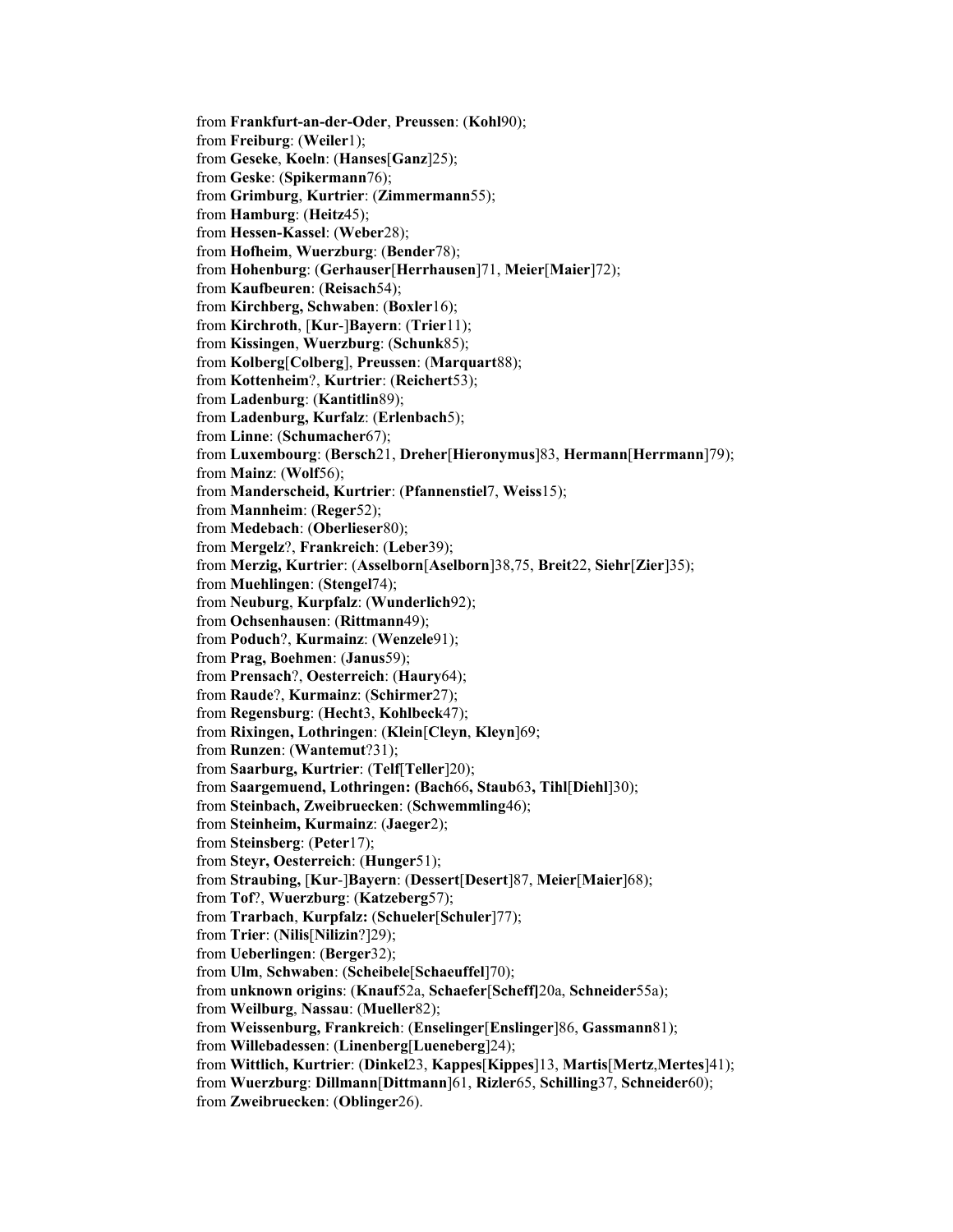from **Frankfurt-an-der-Oder**, **Preussen**: (**Kohl**90); from **Freiburg**: (**Weiler**1); from **Geseke**, **Koeln**: (**Hanses**[**Ganz**]25); from **Geske**: (**Spikermann**76); from **Grimburg**, **Kurtrier**: (**Zimmermann**55); from **Hamburg**: (**Heitz**45); from **Hessen-Kassel**: (**Weber**28); from **Hofheim**, **Wuerzburg**: (**Bender**78); from **Hohenburg**: (**Gerhauser**[**Herrhausen**]71, **Meier**[**Maier**]72); from **Kaufbeuren**: (**Reisach**54); from **Kirchberg, Schwaben**: (**Boxler**16); from **Kirchroth**, [**Kur**-]**Bayern**: (**Trier**11); from **Kissingen**, **Wuerzburg**: (**Schunk**85); from **Kolberg**[**Colberg**], **Preussen**: (**Marquart**88); from **Kottenheim**?, **Kurtrier**: (**Reichert**53); from **Ladenburg**: (**Kantitlin**89); from **Ladenburg, Kurfalz**: (**Erlenbach**5); from **Linne**: (**Schumacher**67); from **Luxembourg**: (**Bersch**21, **Dreher**[**Hieronymus**]83, **Hermann**[**Herrmann**]79); from **Mainz**: (**Wolf**56); from **Manderscheid, Kurtrier**: (**Pfannenstiel**7, **Weiss**15); from **Mannheim**: (**Reger**52); from **Medebach**: (**Oberlieser**80); from **Mergelz**?, **Frankreich**: (**Leber**39); from **Merzig, Kurtrier**: (**Asselborn**[**Aselborn**]38,75, **Breit**22, **Siehr**[**Zier**]35); from **Muehlingen**: (**Stengel**74); from **Neuburg**, **Kurpfalz**: (**Wunderlich**92); from **Ochsenhausen**: (**Rittmann**49); from **Poduch**?, **Kurmainz**: (**Wenzele**91); from **Prag, Boehmen**: (**Janus**59); from **Prensach**?, **Oesterreich**: (**Haury**64); from **Raude**?, **Kurmainz**: (**Schirmer**27); from **Regensburg**: (**Hecht**3, **Kohlbeck**47); from **Rixingen, Lothringen**: (**Klein**[**Cleyn**, **Kleyn**]69; from **Runzen**: (**Wantemut**?31); from **Saarburg, Kurtrier**: (**Telf**[**Teller**]20); from **Saargemuend, Lothringen: (Bach**66**, Staub**63**, Tihl**[**Diehl**]30); from **Steinbach, Zweibruecken**: (**Schwemmling**46); from **Steinheim, Kurmainz**: (**Jaeger**2); from **Steinsberg**: (**Peter**17); from **Steyr, Oesterreich**: (**Hunger**51); from **Straubing,** [**Kur**-]**Bayern**: (**Dessert**[**Desert**]87, **Meier**[**Maier**]68); from **Tof**?, **Wuerzburg**: (**Katzeberg**57); from **Trarbach**, **Kurpfalz:** (**Schueler**[**Schuler**]77); from **Trier**: (**Nilis**[**Nilizin**?]29); from **Ueberlingen**: (**Berger**32); from **Ulm**, **Schwaben**: (**Scheibele**[**Schaeuffel**]70); from **unknown origins**: (**Knauf**52a, **Schaefer**[**Scheff]**20a, **Schneider**55a); from **Weilburg**, **Nassau**: (**Mueller**82); from **Weissenburg, Frankreich**: (**Enselinger**[**Enslinger**]86, **Gassmann**81); from **Willebadessen**: (**Linenberg**[**Lueneberg**]24); from **Wittlich, Kurtrier**: (**Dinkel**23, **Kappes**[**Kippes**]13, **Martis**[**Mertz**,**Mertes**]41); from **Wuerzburg**: **Dillmann**[**Dittmann**]61, **Rizler**65, **Schilling**37, **Schneider**60); from **Zweibruecken**: (**Oblinger**26).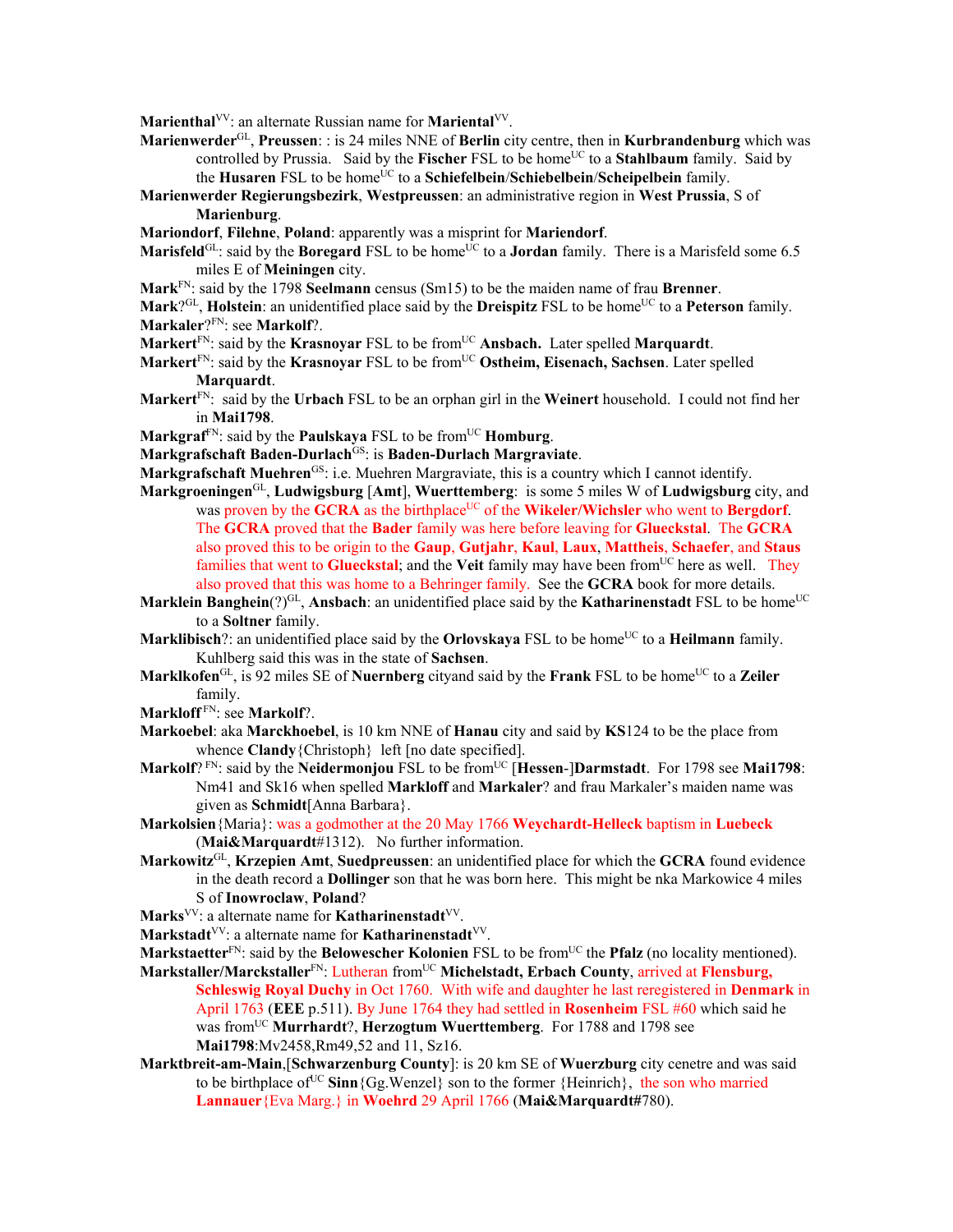**Marienthal**<sup>VV</sup>: an alternate Russian name for **Mariental**<sup>VV</sup>.

- **Marienwerder**GL, **Preussen**: : is 24 miles NNE of **Berlin** city centre, then in **Kurbrandenburg** which was controlled by Prussia. Said by the **Fischer** FSL to be home<sup>UC</sup> to a **Stahlbaum** family. Said by the **Husaren** FSL to be homeUC to a **Schiefelbein**/**Schiebelbein**/**Scheipelbein** family.
- **Marienwerder Regierungsbezirk**, **Westpreussen**: an administrative region in **West Prussia**, S of **Marienburg**.
- **Mariondorf**, **Filehne**, **Poland**: apparently was a misprint for **Mariendorf**.
- **Marisfeld**<sup>GL</sup>: said by the **Boregard** FSL to be home<sup>UC</sup> to a **Jordan** family. There is a Marisfeld some 6.5 miles E of **Meiningen** city.
- **Mark**FN: said by the 1798 **Seelmann** census (Sm15) to be the maiden name of frau **Brenner**.
- **Mark**?<sup>GL</sup>, **Holstein**: an unidentified place said by the **Dreispitz** FSL to be home<sup>UC</sup> to a **Peterson** family. **Markaler**?FN: see **Markolf**?.
- **Markert**<sup>FN</sup>: said by the **Krasnoyar** FSL to be from<sup>UC</sup> **Ansbach.** Later spelled **Marquardt**.
- **Markert**FN: said by the **Krasnoyar** FSL to be fromUC **Ostheim, Eisenach, Sachsen**. Later spelled **Marquardt**.
- **Markert**FN: said by the **Urbach** FSL to be an orphan girl in the **Weinert** household. I could not find her in **Mai1798**.
- **Markgraf**FN: said by the **Paulskaya** FSL to be fromUC **Homburg**.
- **Markgrafschaft Baden-Durlach**GS: is **Baden-Durlach Margraviate**.
- **Markgrafschaft Muehren**GS: i.e. Muehren Margraviate, this is a country which I cannot identify.
- **Markgroeningen**GL, **Ludwigsburg** [**Amt**], **Wuerttemberg**: is some 5 miles W of **Ludwigsburg** city, and was proven by the **GCRA** as the birthplace<sup>UC</sup> of the **Wikeler/Wichsler** who went to **Bergdorf**. The **GCRA** proved that the **Bader** family was here before leaving for **Glueckstal**. The **GCRA** also proved this to be origin to the **Gaup**, **Gutjahr**, **Kaul**, **Laux**, **Mattheis**, **Schaefer**, and **Staus** families that went to **Glueckstal**; and the Veit family may have been from<sup>UC</sup> here as well. They also proved that this was home to a Behringer family. See the **GCRA** book for more details.
- **Marklein Banghein**(?)<sup>GL</sup>, **Ansbach**: an unidentified place said by the **Katharinenstadt** FSL to be home<sup>UC</sup> to a **Soltner** family.
- **Marklibisch**?: an unidentified place said by the **Orlovskaya** FSL to be home<sup>UC</sup> to a **Heilmann** family. Kuhlberg said this was in the state of **Sachsen**.
- Marklkofen<sup>GL</sup>, is 92 miles SE of Nuernberg cityand said by the Frank FSL to be home<sup>UC</sup> to a Zeiler family.
- **Markloff** FN: see **Markolf**?.
- **Markoebel**: aka **Marckhoebel**, is 10 km NNE of **Hanau** city and said by **KS**124 to be the place from whence **Clandy**{Christoph} left [no date specified].
- **Markolf**? FN: said by the **Neidermonjou** FSL to be from<sup>UC</sup> [Hessen-]Darmstadt. For 1798 see Mai1798: Nm41 and Sk16 when spelled **Markloff** and **Markaler**? and frau Markaler's maiden name was given as **Schmidt**[Anna Barbara}.
- **Markolsien**{Maria}: was a godmother at the 20 May 1766 **Weychardt-Helleck** baptism in **Luebeck** (**Mai&Marquardt**#1312). No further information.
- **Markowitz**GL, **Krzepien Amt**, **Suedpreussen**: an unidentified place for which the **GCRA** found evidence in the death record a **Dollinger** son that he was born here. This might be nka Markowice 4 miles S of **Inowroclaw**, **Poland**?
- Marks<sup>VV</sup>: a alternate name for **Katharinenstadt**<sup>VV</sup>.
- Markstadt<sup>VV</sup>: a alternate name for **Katharinenstadt**<sup>VV</sup>.
- **Markstaetter**<sup>FN</sup>: said by the **Belowescher Kolonien** FSL to be from<sup>UC</sup> the **Pfalz** (no locality mentioned).
- Markstaller/Marckstaller<sup>FN</sup>: Lutheran from<sup>UC</sup> Michelstadt, Erbach County, arrived at Flensburg, **Schleswig Royal Duchy** in Oct 1760. With wife and daughter he last reregistered in **Denmark** in April 1763 (**EEE** p.511). By June 1764 they had settled in **Rosenheim** FSL #60 which said he was fromUC **Murrhardt**?, **Herzogtum Wuerttemberg**. For 1788 and 1798 see **Mai1798**:Mv2458,Rm49,52 and 11, Sz16.
- **Marktbreit-am-Main**,[**Schwarzenburg County**]: is 20 km SE of **Wuerzburg** city cenetre and was said to be birthplace of <sup>UC</sup> **Sinn**{Gg.Wenzel} son to the former {Heinrich}, the son who married **Lannauer**{Eva Marg.} in **Woehrd** 29 April 1766 (**Mai&Marquardt#**780).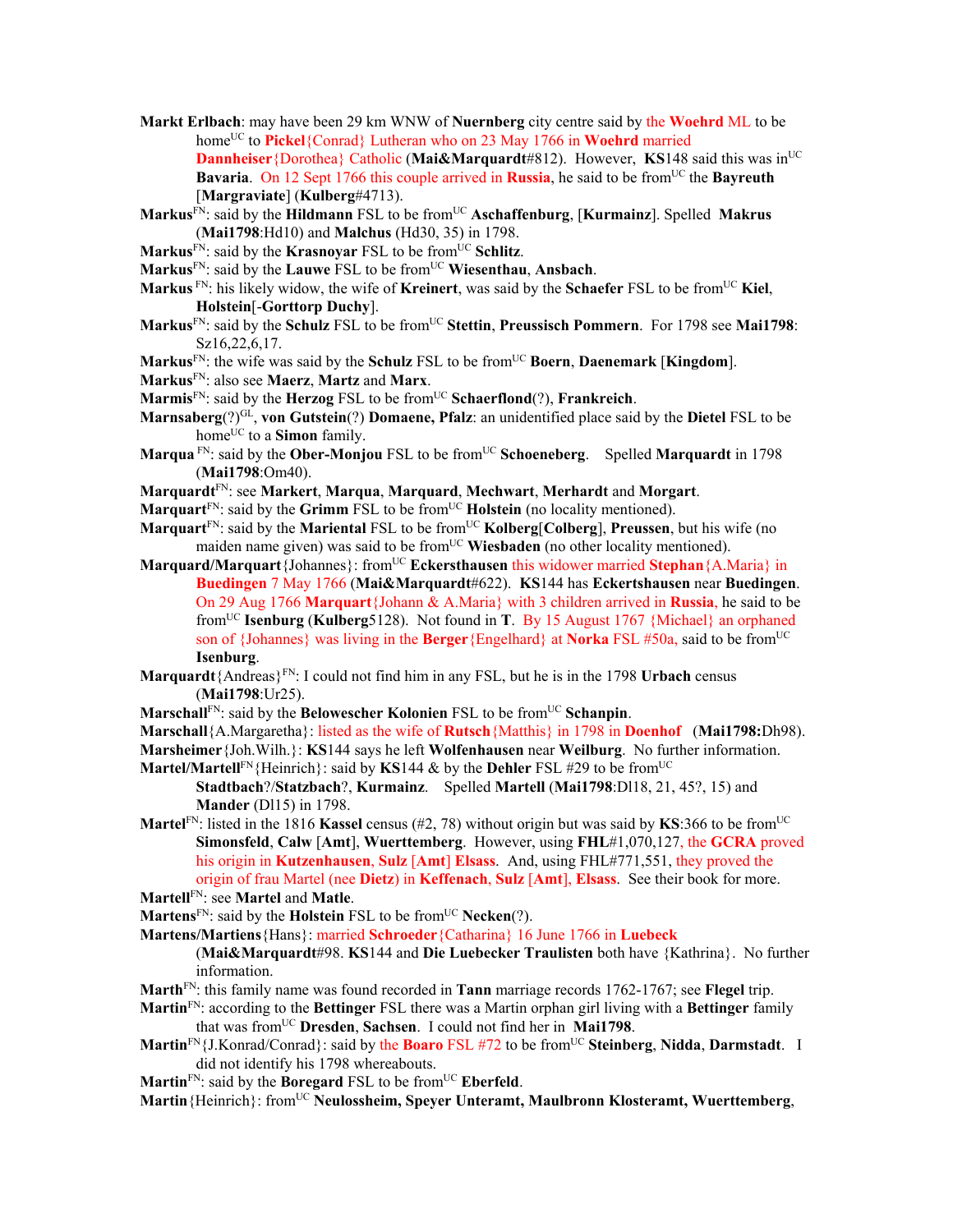**Markt Erlbach**: may have been 29 km WNW of **Nuernberg** city centre said by the **Woehrd** ML to be home<sup>UC</sup> to **Pickel**{Conrad} Lutheran who on 23 May 1766 in **Woehrd** married **Dannheiser**{Dorothea} Catholic (Mai&Marquardt#812). However, KS148 said this was in<sup>UC</sup> **Bavaria.** On 12 Sept 1766 this couple arrived in **Russia**, he said to be from<sup>UC</sup> the **Bayreuth** [**Margraviate**] (**Kulberg**#4713).

**Markus**FN: said by the **Hildmann** FSL to be fromUC **Aschaffenburg**, [**Kurmainz**]. Spelled **Makrus** (**Mai1798**:Hd10) and **Malchus** (Hd30, 35) in 1798.

Markus<sup>FN</sup>: said by the **Krasnoyar** FSL to be from<sup>UC</sup> Schlitz.

**Markus**FN: said by the **Lauwe** FSL to be fromUC **Wiesenthau**, **Ansbach**.

**Markus** FN: his likely widow, the wife of **Kreinert**, was said by the **Schaefer** FSL to be fromUC **Kiel**, **Holstein**[-**Gorttorp Duchy**].

**Markus**FN: said by the **Schulz** FSL to be fromUC **Stettin**, **Preussisch Pommern**. For 1798 see **Mai1798**: Sz16,22,6,17.

**Markus**FN: the wife was said by the **Schulz** FSL to be fromUC **Boern**, **Daenemark** [**Kingdom**].

- **Markus**FN: also see **Maerz**, **Martz** and **Marx**.
- **Marmis**FN: said by the **Herzog** FSL to be fromUC **Schaerflond**(?), **Frankreich**.
- **Marnsaberg**(?)GL, **von Gutstein**(?) **Domaene, Pfalz**: an unidentified place said by the **Dietel** FSL to be home<sup>UC</sup> to a **Simon** family.
- **Marqua** FN: said by the **Ober-Monjou** FSL to be from<sup>UC</sup> **Schoeneberg.** Spelled **Marquardt** in 1798 (**Mai1798**:Om40).
- **Marquardt**FN: see **Markert**, **Marqua**, **Marquard**, **Mechwart**, **Merhardt** and **Morgart**.
- **Marquart**<sup>FN</sup>: said by the **Grimm** FSL to be from<sup>UC</sup> **Holstein** (no locality mentioned).
- **Marquart**<sup>FN</sup>: said by the **Mariental** FSL to be from<sup>UC</sup> **Kolberg**[Colberg], Preussen, but his wife (no maiden name given) was said to be from<sup>UC</sup> Wiesbaden (no other locality mentioned).
- **Marquard/Marquart**{Johannes}: from<sup>UC</sup> **Eckersthausen** this widower married **Stephan**{A.Maria} in **Buedingen** 7 May 1766 (**Mai&Marquardt**#622). **KS**144 has **Eckertshausen** near **Buedingen**. On 29 Aug 1766 **Marquart**{Johann & A.Maria} with 3 children arrived in **Russia**, he said to be fromUC **Isenburg** (**Kulberg**5128). Not found in **T**. By 15 August 1767 {Michael} an orphaned son of {Johannes} was living in the **Berger**{Engelhard} at **Norka** FSL #50a, said to be fromUC **Isenburg**.
- **Marquardt** ${A}$ Andreas ${P}^{F N}$ : I could not find him in any FSL, but he is in the 1798 Urbach census (**Mai1798**:Ur25).
- **Marschall**FN: said by the **Belowescher Kolonien** FSL to be from<sup>UC</sup> Schanpin.

**Marschall**{A.Margaretha}: listed as the wife of **Rutsch**{Matthis} in 1798 in **Doenhof** (**Mai1798:**Dh98).

**Marsheimer**{Joh.Wilh.}: **KS**144 says he left **Wolfenhausen** near **Weilburg**. No further information. **Martel/Martell**<sup>FN</sup>{Heinrich}: said by **KS**144  $\&$  by the **Dehler** FSL #29 to be from<sup>UC</sup>

**Stadtbach**?/**Statzbach**?, **Kurmainz**. Spelled **Martell** (**Mai1798**:Dl18, 21, 45?, 15) and **Mander** (Dl15) in 1798.

**Martel**<sup>FN</sup>: listed in the 1816 **Kassel** census (#2, 78) without origin but was said by **KS**:366 to be from<sup>UC</sup> **Simonsfeld**, **Calw** [**Amt**], **Wuerttemberg**. However, using **FHL**#1,070,127, the **GCRA** proved his origin in **Kutzenhausen**, **Sulz** [**Amt**] **Elsass**. And, using FHL#771,551, they proved the origin of frau Martel (nee **Dietz**) in **Keffenach**, **Sulz** [**Amt**], **Elsass**. See their book for more.

**Martell**FN: see **Martel** and **Matle**.

- **Martens**<sup>FN</sup>: said by the **Holstein** FSL to be from<sup>UC</sup> **Necken**(?).
- **Martens/Martiens**{Hans}: married **Schroeder**{Catharina} 16 June 1766 in **Luebeck**

(**Mai&Marquardt**#98. **KS**144 and **Die Luebecker Traulisten** both have {Kathrina}. No further information.

**Marth**FN: this family name was found recorded in **Tann** marriage records 1762-1767; see **Flegel** trip.

**Martin**FN: according to the **Bettinger** FSL there was a Martin orphan girl living with a **Bettinger** family that was fromUC **Dresden**, **Sachsen**. I could not find her in **Mai1798**.

- **Martin**FN{J.Konrad/Conrad}: said by the **Boaro** FSL #72 to be fromUC **Steinberg**, **Nidda**, **Darmstadt**. I did not identify his 1798 whereabouts.
- Martin<sup>FN</sup>: said by the **Boregard** FSL to be from<sup>UC</sup> **Eberfeld**.

**Martin**{Heinrich}: fromUC **Neulossheim, Speyer Unteramt, Maulbronn Klosteramt, Wuerttemberg**,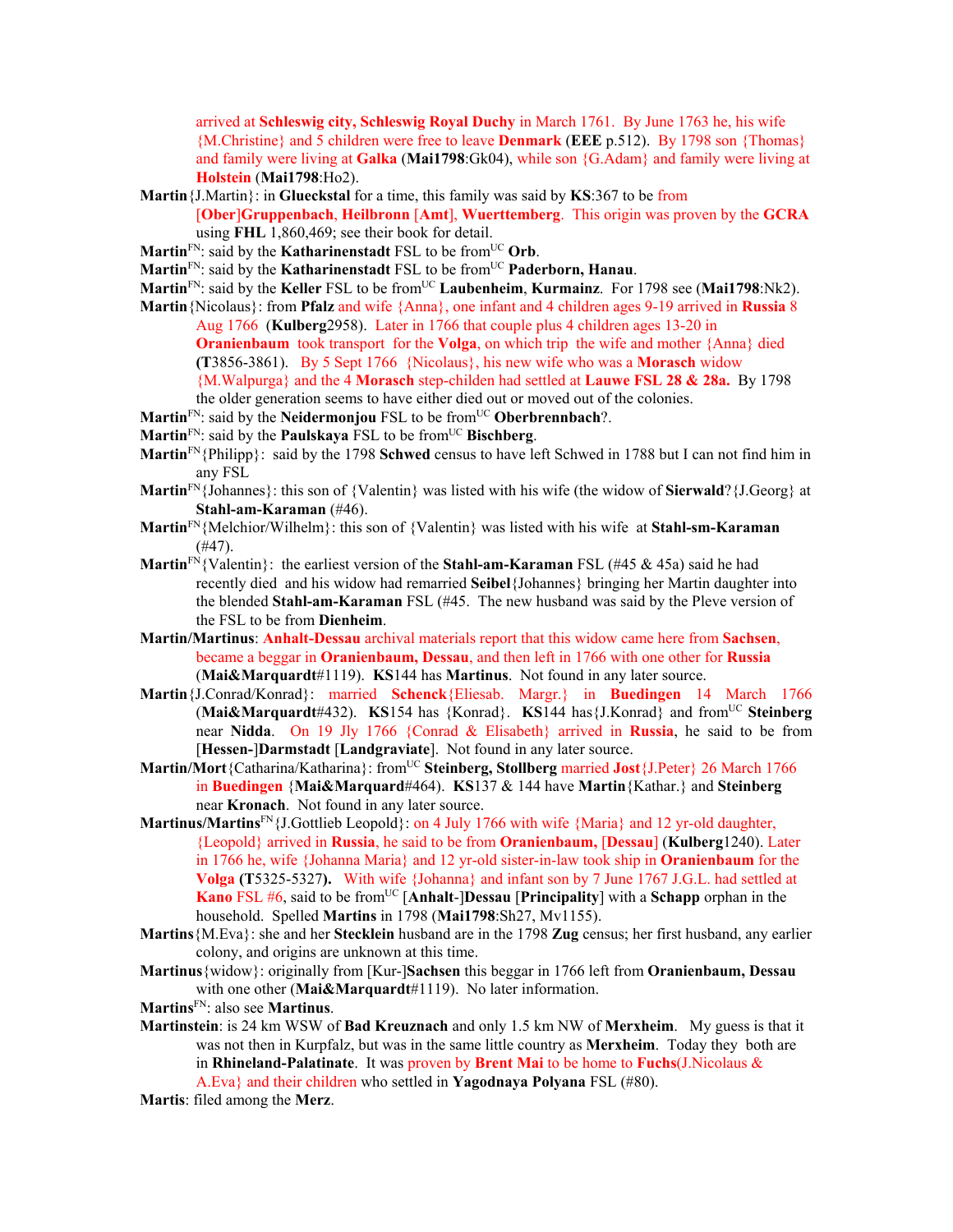arrived at **Schleswig city, Schleswig Royal Duchy** in March 1761. By June 1763 he, his wife {M.Christine} and 5 children were free to leave **Denmark** (**EEE** p.512). By 1798 son {Thomas} and family were living at **Galka** (**Mai1798**:Gk04), while son {G.Adam} and family were living at **Holstein** (**Mai1798**:Ho2).

- **Martin**{J.Martin}: in **Glueckstal** for a time, this family was said by **KS**:367 to be from [**Ober**]**Gruppenbach**, **Heilbronn** [**Amt**], **Wuerttemberg**. This origin was proven by the **GCRA**
	- using **FHL** 1,860,469; see their book for detail.
- Martin<sup>FN</sup>: said by the **Katharinenstadt** FSL to be from<sup>UC</sup> Orb.
- **Martin**<sup>FN</sup>: said by the **Katharinenstadt** FSL to be from<sup>UC</sup> **Paderborn, Hanau**.
- **Martin**<sup>FN</sup>: said by the **Keller** FSL to be from<sup>UC</sup> Laubenheim, **Kurmainz**. For 1798 see (Mai1798:Nk2).
- **Martin**{Nicolaus}: from **Pfalz** and wife {Anna}, one infant and 4 children ages 9-19 arrived in **Russia** 8 Aug 1766 (**Kulberg**2958). Later in 1766 that couple plus 4 children ages 13-20 in
	- **Oranienbaum** took transport for the **Volga**, on which trip the wife and mother {Anna} died **(T**3856-3861). By 5 Sept 1766 {Nicolaus}, his new wife who was a **Morasch** widow

{M.Walpurga} and the 4 **Morasch** step-childen had settled at **Lauwe FSL 28 & 28a.** By 1798 the older generation seems to have either died out or moved out of the colonies.

- **Martin**<sup>FN</sup>: said by the **Neidermonjou** FSL to be from<sup>UC</sup> **Oberbrennbach**?.
- **Martin**<sup>FN</sup>: said by the **Paulskaya** FSL to be from<sup>UC</sup> **Bischberg**.
- **Martin**FN{Philipp}: said by the 1798 **Schwed** census to have left Schwed in 1788 but I can not find him in any FSL
- **Martin**FN{Johannes}: this son of {Valentin} was listed with his wife (the widow of **Sierwald**?{J.Georg} at **Stahl-am-Karaman** (#46).
- **Martin**FN{Melchior/Wilhelm}: this son of {Valentin} was listed with his wife at **Stahl-sm-Karaman**  $(#47)$ .
- **Martin**<sup>FN</sup>{Valentin}: the earliest version of the **Stahl-am-Karaman** FSL (#45 & 45a) said he had recently died and his widow had remarried **Seibel**{Johannes} bringing her Martin daughter into the blended **Stahl-am-Karaman** FSL (#45. The new husband was said by the Pleve version of the FSL to be from **Dienheim**.
- **Martin/Martinus**: **Anhalt-Dessau** archival materials report that this widow came here from **Sachsen**, became a beggar in **Oranienbaum, Dessau**, and then left in 1766 with one other for **Russia**  (**Mai&Marquardt**#1119). **KS**144 has **Martinus**. Not found in any later source.
- **Martin**{J.Conrad/Konrad}: married **Schenck**{Eliesab. Margr.} in **Buedingen** 14 March 1766 (**Mai&Marquardt**#432). **KS**154 has {Konrad}. **KS**144 has{J.Konrad} and fromUC **Steinberg** near **Nidda**. On 19 Jly 1766 {Conrad & Elisabeth} arrived in **Russia**, he said to be from [**Hessen-**]**Darmstadt** [**Landgraviate**]. Not found in any later source.
- Martin/Mort{Catharina/Katharina}: from<sup>UC</sup> Steinberg, Stollberg married Jost{J.Peter} 26 March 1766 in **Buedingen** {**Mai&Marquard**#464). **KS**137 & 144 have **Martin**{Kathar.} and **Steinberg**  near **Kronach**.Not found in any later source.
- **Martinus/Martins**FN{J.Gottlieb Leopold}: on 4 July 1766 with wife {Maria} and 12 yr-old daughter, {Leopold} arrived in **Russia**, he said to be from **Oranienbaum,** [**Dessau**] (**Kulberg**1240). Later in 1766 he, wife {Johanna Maria} and 12 yr-old sister-in-law took ship in **Oranienbaum** for the **Volga (T**5325-5327**).** With wife {Johanna} and infant son by 7 June 1767 J.G.L. had settled at **Kano** FSL #6, said to be from<sup>UC</sup> [Anhalt-]Dessau [Principality] with a Schapp orphan in the household. Spelled **Martins** in 1798 (**Mai1798**:Sh27, Mv1155).
- **Martins**{M.Eva}: she and her **Stecklein** husband are in the 1798 **Zug** census; her first husband, any earlier colony, and origins are unknown at this time.
- **Martinus**{widow}: originally from [Kur-]**Sachsen** this beggar in 1766 left from **Oranienbaum, Dessau** with one other (**Mai&Marquardt**#1119). No later information.
- **Martins**FN: also see **Martinus**.
- **Martinstein**: is 24 km WSW of **Bad Kreuznach** and only 1.5 km NW of **Merxheim**. My guess is that it was not then in Kurpfalz, but was in the same little country as **Merxheim**. Today they both are in **Rhineland-Palatinate**. It was proven by **Brent Mai** to be home to **Fuchs**(J.Nicolaus & A.Eva} and their children who settled in **Yagodnaya Polyana** FSL (#80).

**Martis**: filed among the **Merz**.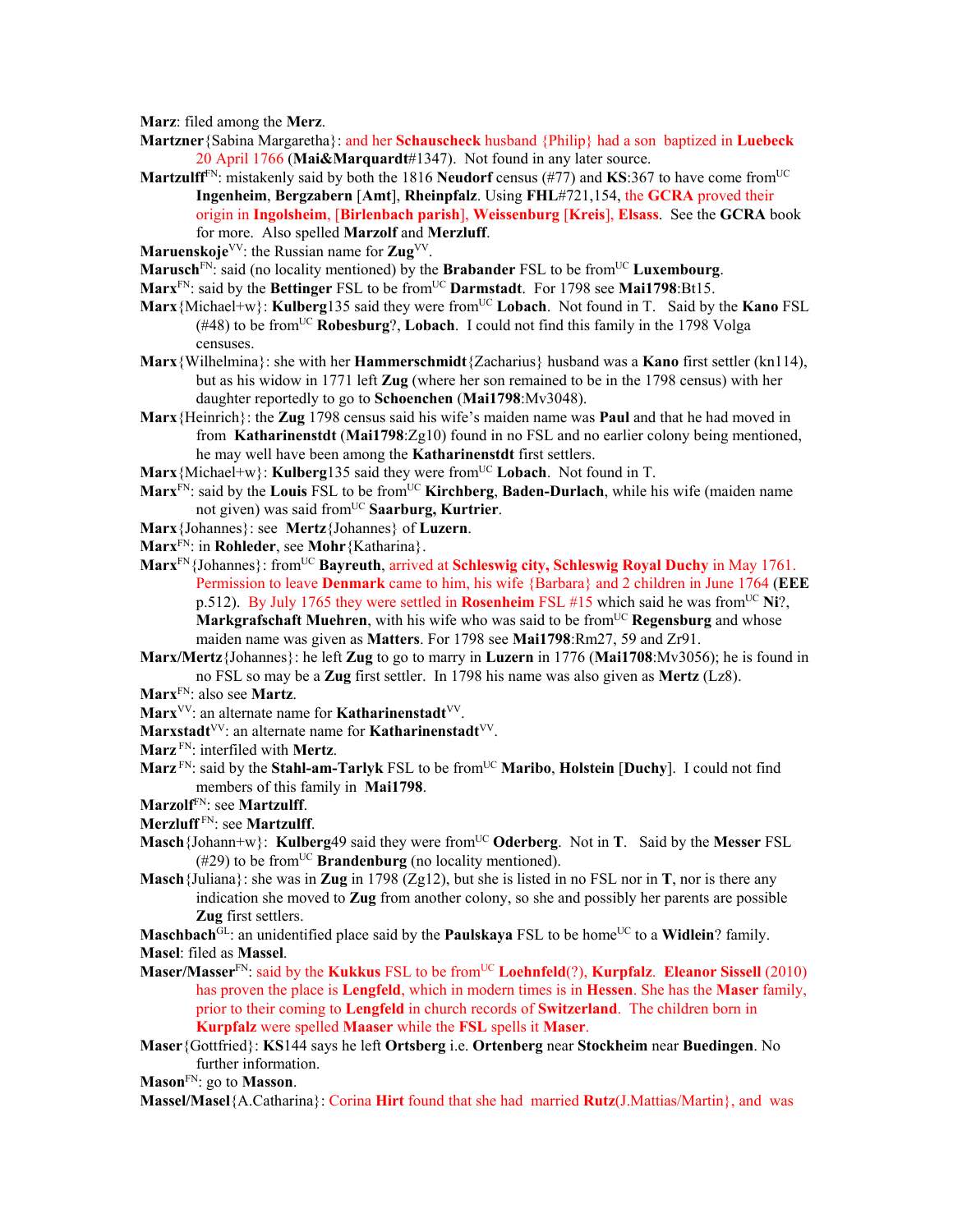**Marz**: filed among the **Merz**.

- **Martzner**{Sabina Margaretha}: and her **Schauscheck** husband {Philip} had a son baptized in **Luebeck**  20 April 1766 (**Mai&Marquardt**#1347). Not found in any later source.
- **Martzulff**<sup> $FN$ </sup>: mistakenly said by both the 1816 **Neudorf** census (#77) and **KS**:367 to have come from<sup>UC</sup> **Ingenheim**, **Bergzabern** [**Amt**], **Rheinpfalz**. Using **FHL**#721,154, the **GCRA** proved their origin in **Ingolsheim**, [**Birlenbach parish**], **Weissenburg** [**Kreis**], **Elsass**. See the **GCRA** book for more. Also spelled **Marzolf** and **Merzluff**.

**Maruenskoje**<sup>VV</sup>: the Russian name for **Zug**<sup>VV</sup>.

**Marusch**<sup>FN</sup>: said (no locality mentioned) by the **Brabander** FSL to be from<sup>UC</sup> Luxembourg.

- Marx<sup>FN</sup>: said by the Bettinger FSL to be from<sup>UC</sup> Darmstadt. For 1798 see Mai1798:Bt15.
- **Marx**{Michael+w}: **Kulberg**135 said they were from<sup>UC</sup> Lobach. Not found in T. Said by the **Kano** FSL  $(#48)$  to be from<sup>UC</sup> **Robesburg**?, **Lobach**. I could not find this family in the 1798 Volga censuses.
- **Marx**{Wilhelmina}: she with her **Hammerschmidt**{Zacharius} husband was a **Kano** first settler (kn114), but as his widow in 1771 left **Zug** (where her son remained to be in the 1798 census) with her daughter reportedly to go to **Schoenchen** (**Mai1798**:Mv3048).
- **Marx**{Heinrich}: the **Zug** 1798 census said his wife's maiden name was **Paul** and that he had moved in from **Katharinenstdt** (**Mai1798**:Zg10) found in no FSL and no earlier colony being mentioned, he may well have been among the **Katharinenstdt** first settlers.
- **Marx**{Michael+w}: **Kulberg**135 said they were from<sup>UC</sup> **Lobach**. Not found in T.
- **Marx**<sup>FN</sup>: said by the **Louis** FSL to be from<sup>UC</sup> **Kirchberg**, **Baden-Durlach**, while his wife (maiden name not given) was said from<sup>UC</sup> Saarburg, Kurtrier.
- **Marx**{Johannes}: see **Mertz**{Johannes} of **Luzern**.
- **Marx**FN: in **Rohleder**, see **Mohr**{Katharina}.
- Marx<sup>FN</sup>{Johannes}: from<sup>UC</sup> **Bayreuth**, arrived at **Schleswig city, Schleswig Royal Duchy** in May 1761. Permission to leave **Denmark** came to him, his wife {Barbara} and 2 children in June 1764 (**EEE** p.512). By July 1765 they were settled in **Rosenheim** FSL #15 which said he was fromUC **Ni**?, **Markgrafschaft Muehren**, with his wife who was said to be from<sup>UC</sup> **Regensburg** and whose maiden name was given as **Matters**. For 1798 see **Mai1798**:Rm27, 59 and Zr91.
- **Marx/Mertz**{Johannes}: he left **Zug** to go to marry in **Luzern** in 1776 (**Mai1708**:Mv3056); he is found in no FSL so may be a **Zug** first settler. In 1798 his name was also given as **Mertz** (Lz8).
- **Marx**FN: also see **Martz**.
- Marx<sup>VV</sup>: an alternate name for **Katharinenstadt**<sup>VV</sup>.
- Marxstadt<sup>VV</sup>: an alternate name for **Katharinenstadt**<sup>VV</sup>.
- **Marz** FN: interfiled with **Mertz**.
- **Marz**<sup>FN</sup>: said by the **Stahl-am-Tarlyk** FSL to be from<sup>UC</sup> **Maribo**, **Holstein [Duchy**]. I could not find members of this family in **Mai1798**.
- **Marzolf**FN: see **Martzulff**.
- **Merzluff** FN: see **Martzulff**.
- **Masch**{Johann+w}: **Kulberg**49 said they were from<sup>UC</sup> Oderberg. Not in **T**. Said by the Messer FSL  $(\text{\#29})$  to be from<sup>UC</sup> **Brandenburg** (no locality mentioned).
- **Masch**{Juliana}: she was in **Zug** in 1798 (Zg12), but she is listed in no FSL nor in **T**, nor is there any indication she moved to **Zug** from another colony, so she and possibly her parents are possible **Zug** first settlers.
- **Maschbach** $\overline{GL}$ : an unidentified place said by the **Paulskaya** FSL to be home<sup>UC</sup> to a **Widlein**? family. **Masel**: filed as **Massel**.
- **Maser/Masser**<sup>FN</sup>: said by the **Kukkus** FSL to be from<sup>UC</sup> **Loehnfeld**(?), **Kurpfalz**. **Eleanor Sissell** (2010) has proven the place is **Lengfeld**, which in modern times is in **Hessen**. She has the **Maser** family, prior to their coming to **Lengfeld** in church records of **Switzerland**. The children born in **Kurpfalz** were spelled **Maaser** while the **FSL** spells it **Maser**.
- **Maser**{Gottfried}: **KS**144 says he left **Ortsberg** i.e. **Ortenberg** near **Stockheim** near **Buedingen**. No further information.
- **Mason**FN: go to **Masson**.
- **Massel/Masel**{A.Catharina}: Corina **Hirt** found that she had married **Rutz**(J.Mattias/Martin}, and was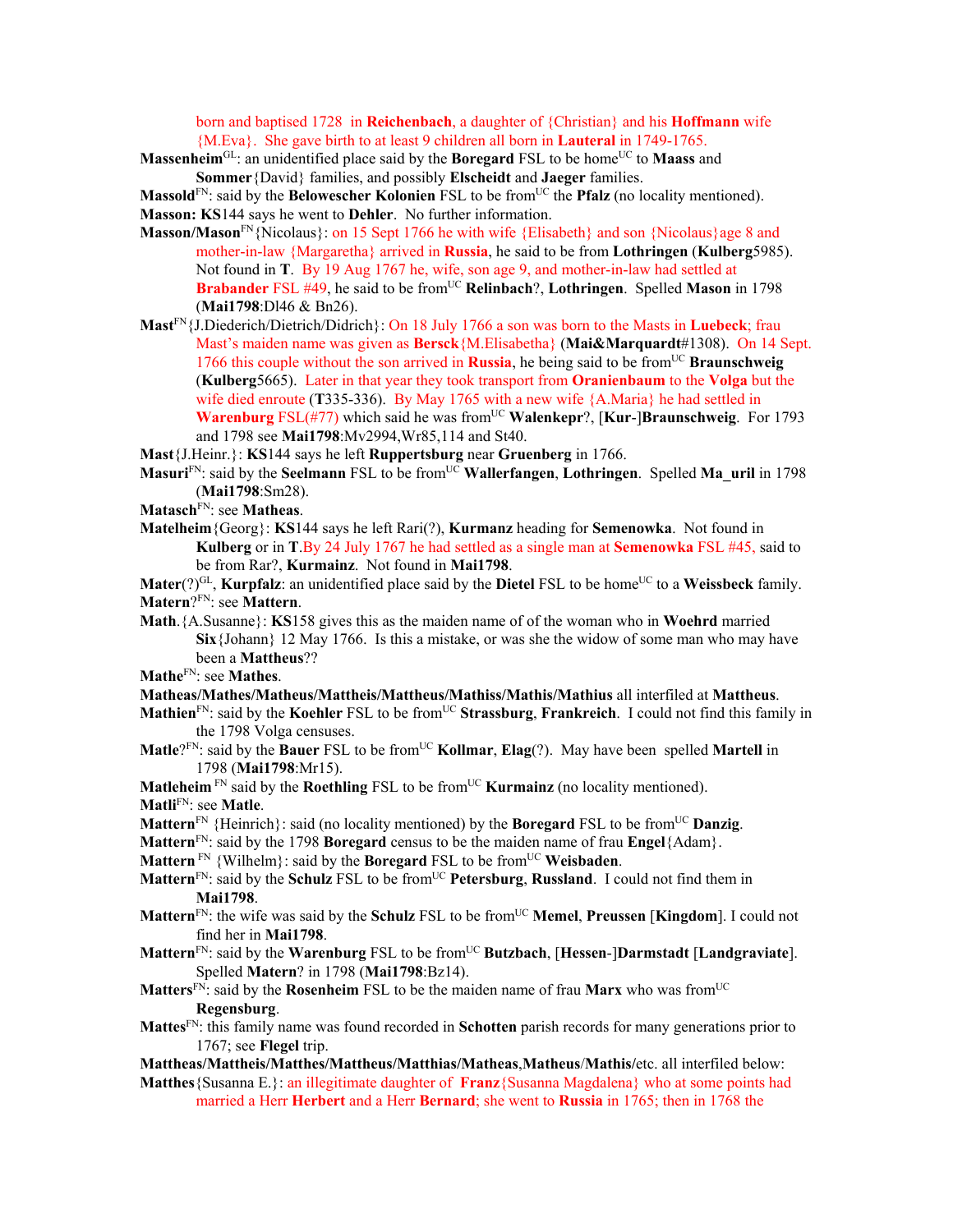born and baptised 1728 in **Reichenbach**, a daughter of {Christian} and his **Hoffmann** wife {M.Eva}. She gave birth to at least 9 children all born in **Lauteral** in 1749-1765.

**Massenheim**<sup>GL</sup>: an unidentified place said by the **Boregard** FSL to be home<sup>UC</sup> to **Maass** and **Sommer**{David} families, and possibly **Elscheidt** and **Jaeger** families.

**Massold**<sup>FN</sup>: said by the **Belowescher Kolonien** FSL to be from<sup>UC</sup> the **Pfalz** (no locality mentioned). **Masson: KS**144 says he went to **Dehler**. No further information.

- **Masson/Mason**<sup>FN</sup>{Nicolaus}: on 15 Sept 1766 he with wife {Elisabeth} and son {Nicolaus}age 8 and mother-in-law {Margaretha} arrived in **Russia**, he said to be from **Lothringen** (**Kulberg**5985). Not found in **T**. By 19 Aug 1767 he, wife, son age 9, and mother-in-law had settled at **Brabander** FSL #49, he said to be from<sup>UC</sup> **Relinbach**?, **Lothringen**. Spelled **Mason** in 1798 (**Mai1798**:Dl46 & Bn26).
- **Mast**FN{J.Diederich/Dietrich/Didrich}: On 18 July 1766 a son was born to the Masts in **Luebeck**; frau Mast's maiden name was given as **Bersck**{M.Elisabetha} (**Mai&Marquardt**#1308). On 14 Sept. 1766 this couple without the son arrived in **Russia**, he being said to be from<sup>UC</sup> Braunschweig (**Kulberg**5665). Later in that year they took transport from **Oranienbaum** to the **Volga** but the wife died enroute (**T**335-336). By May 1765 with a new wife {A.Maria} he had settled in **Warenburg** FSL(#77) which said he was from<sup>UC</sup> Walenkepr?, [Kur-]Braunschweig. For 1793 and 1798 see **Mai1798**:Mv2994,Wr85,114 and St40.
- **Mast**{J.Heinr.}: **KS**144 says he left **Ruppertsburg** near **Gruenberg** in 1766.
- **Masuri**FN: said by the **Seelmann** FSL to be fromUC **Wallerfangen**, **Lothringen**. Spelled **Ma\_uril** in 1798 (**Mai1798**:Sm28).
- **Matasch**FN: see **Matheas**.
- **Matelheim**{Georg}: **KS**144 says he left Rari(?), **Kurmanz** heading for **Semenowka**. Not found in **Kulberg** or in **T**.By 24 July 1767 he had settled as a single man at **Semenowka** FSL #45, said to be from Rar?, **Kurmainz**. Not found in **Mai1798**.

**Mater**(?)<sup>GL</sup>, **Kurpfalz**: an unidentified place said by the **Dietel** FSL to be home<sup>UC</sup> to a Weissbeck family. **Matern**?FN: see **Mattern**.

**Math**.{A.Susanne}: **KS**158 gives this as the maiden name of of the woman who in **Woehrd** married **Six**{Johann} 12 May 1766. Is this a mistake, or was she the widow of some man who may have been a **Mattheus**??

**Mathe**FN: see **Mathes**.

- **Matheas/Mathes/Matheus/Mattheis/Mattheus/Mathiss/Mathis/Mathius** all interfiled at **Mattheus**.
- **Mathien**<sup>FN</sup>: said by the **Koehler** FSL to be from<sup>UC</sup> **Strassburg**, **Frankreich**. I could not find this family in the 1798 Volga censuses.
- **Matle**?<sup>FN</sup>: said by the **Bauer** FSL to be from<sup>UC</sup> **Kollmar**, **Elag**(?). May have been spelled **Martell** in 1798 (**Mai1798**:Mr15).

**Matleheim**  $\text{FN}}$  said by the **Roethling** FSL to be from<sup>UC</sup> **Kurmainz** (no locality mentioned). **Matli**FN: see **Matle**.

- **Mattern**<sup>FN</sup> {Heinrich}: said (no locality mentioned) by the **Boregard** FSL to be from<sup>UC</sup> **Danzig**.
- **Mattern**FN: said by the 1798 **Boregard** census to be the maiden name of frau **Engel**{Adam}.
- **Mattern** FN {Wilhelm}: said by the **Boregard** FSL to be from<sup>UC</sup> **Weisbaden**.
- Mattern<sup>FN</sup>: said by the Schulz FSL to be from<sup>UC</sup> Petersburg, Russland. I could not find them in **Mai1798**.
- **Mattern**<sup>FN</sup>: the wife was said by the **Schulz** FSL to be from<sup>UC</sup> **Memel, Preussen** [**Kingdom**]. I could not find her in **Mai1798**.
- **Mattern**FN: said by the **Warenburg** FSL to be fromUC **Butzbach**, [**Hessen**-]**Darmstadt** [**Landgraviate**]. Spelled **Matern**? in 1798 (**Mai1798**:Bz14).
- Matters<sup>FN</sup>: said by the **Rosenheim** FSL to be the maiden name of frau Marx who was from<sup>UC</sup> **Regensburg**.
- **Mattes**FN: this family name was found recorded in **Schotten** parish records for many generations prior to 1767; see **Flegel** trip.
- **Mattheas/Mattheis/Matthes/Mattheus/Matthias/Matheas**,**Matheus**/**Mathis/**etc. all interfiled below:
- **Matthes**{Susanna E.}: an illegitimate daughter of **Franz**{Susanna Magdalena} who at some points had married a Herr **Herbert** and a Herr **Bernard**; she went to **Russia** in 1765; then in 1768 the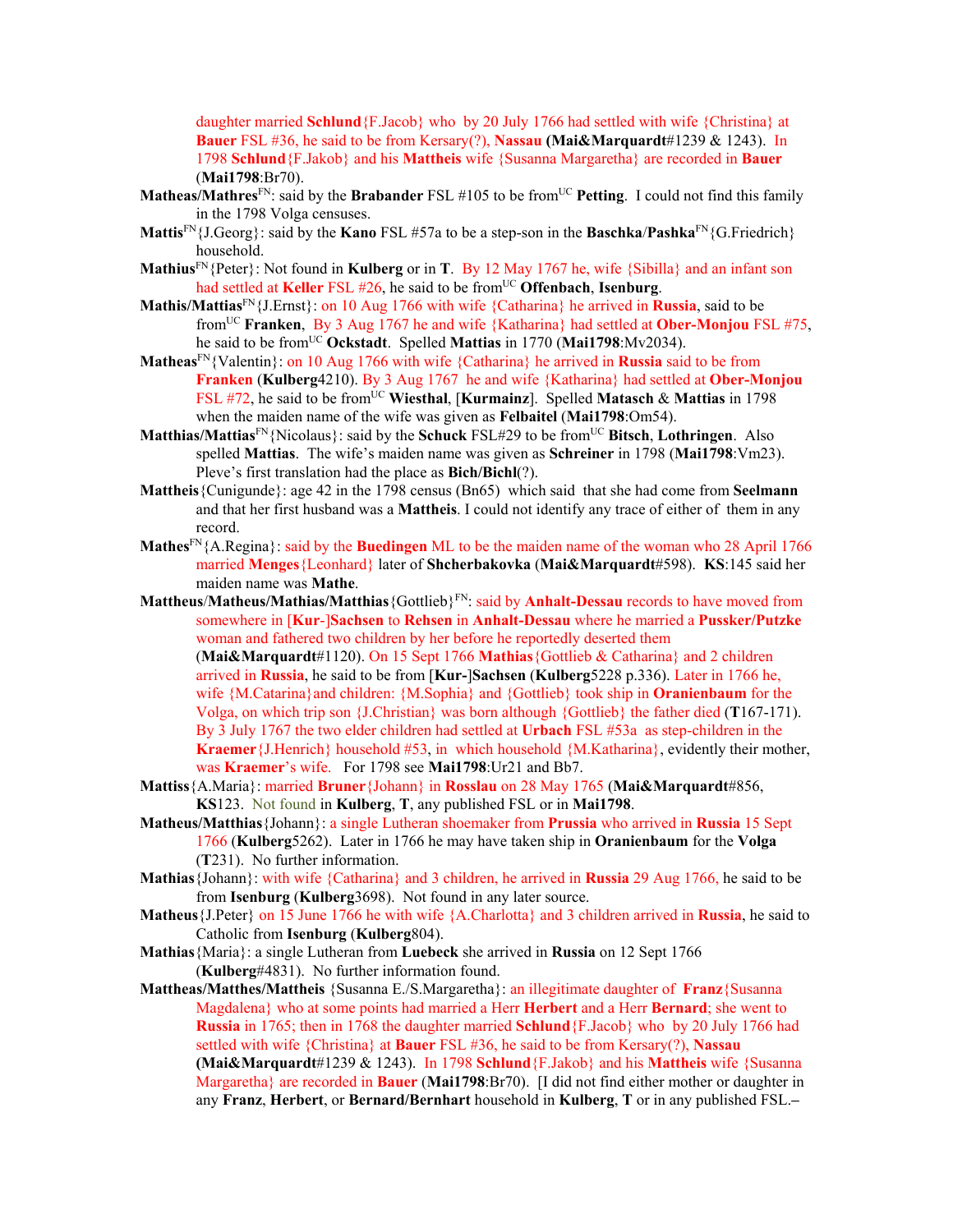daughter married **Schlund**{F.Jacob} who by 20 July 1766 had settled with wife {Christina} at **Bauer** FSL #36, he said to be from Kersary(?), **Nassau (Mai&Marquardt**#1239 & 1243). In 1798 **Schlund**{F.Jakob} and his **Mattheis** wife {Susanna Margaretha} are recorded in **Bauer** (**Mai1798**:Br70).

- **Matheas/Mathres**<sup>FN</sup>: said by the **Brabander** FSL #105 to be from<sup>UC</sup> Petting. I could not find this family in the 1798 Volga censuses.
- **Mattis**<sup>FN</sup>{J.Georg}: said by the **Kano** FSL #57a to be a step-son in the **Baschka**/**Pashka**<sup>FN</sup>{G.Friedrich} household.
- **Mathius**FN{Peter}: Not found in **Kulberg** or in **T**.By 12 May 1767 he, wife {Sibilla} and an infant son had settled at **Keller** FSL #26, he said to be from<sup>UC</sup> Offenbach, **Isenburg**.
- **Mathis/Mattias**FN{J.Ernst}: on 10 Aug 1766 with wife {Catharina} he arrived in **Russia**, said to be fromUC **Franken**, By 3 Aug 1767 he and wife {Katharina} had settled at **Ober-Monjou** FSL #75, he said to be fromUC **Ockstadt**. Spelled **Mattias** in 1770 (**Mai1798**:Mv2034).
- **Matheas**FN{Valentin}: on 10 Aug 1766 with wife {Catharina} he arrived in **Russia** said to be from **Franken** (**Kulberg**4210). By 3 Aug 1767 he and wife {Katharina} had settled at **Ober-Monjou** FSL #72, he said to be from<sup>UC</sup> Wiesthal, [Kurmainz]. Spelled Matasch & Mattias in 1798 when the maiden name of the wife was given as **Felbaitel** (**Mai1798**:Om54).
- **Matthias/Mattias**<sup>FN</sup>{Nicolaus}: said by the **Schuck** FSL#29 to be from<sup>UC</sup> Bitsch, Lothringen. Also spelled **Mattias**. The wife's maiden name was given as **Schreiner** in 1798 (**Mai1798**:Vm23). Pleve's first translation had the place as **Bich/Bichl**(?).
- **Mattheis**{Cunigunde}: age 42 in the 1798 census (Bn65) which said that she had come from **Seelmann** and that her first husband was a **Mattheis**. I could not identify any trace of either of them in any record.
- **Mathes**FN{A.Regina}: said by the **Buedingen** ML to be the maiden name of the woman who 28 April 1766 married **Menges**{Leonhard} later of **Shcherbakovka** (**Mai&Marquardt**#598). **KS**:145 said her maiden name was **Mathe**.
- **Mattheus**/**Matheus/Mathias/Matthias**{Gottlieb}FN: said by **Anhalt-Dessau** records to have moved from somewhere in [**Kur**-]**Sachsen** to **Rehsen** in **Anhalt-Dessau** where he married a **Pussker/Putzke**  woman and fathered two children by her before he reportedly deserted them (**Mai&Marquardt**#1120). On 15 Sept 1766 **Mathias**{Gottlieb & Catharina} and 2 children arrived in **Russia**, he said to be from [**Kur-**]**Sachsen** (**Kulberg**5228 p.336). Later in 1766 he, wife {M.Catarina}and children: {M.Sophia} and {Gottlieb} took ship in **Oranienbaum** for the Volga, on which trip son {J.Christian} was born although {Gottlieb} the father died (**T**167-171). By 3 July 1767 the two elder children had settled at **Urbach** FSL #53a as step-children in the **Kraemer**{J.Henrich} household #53, in which household {M.Katharina}, evidently their mother, was **Kraemer**'s wife. For 1798 see **Mai1798**:Ur21 and Bb7.
- **Mattiss**{A.Maria}: married **Bruner**{Johann} in **Rosslau** on 28 May 1765 (**Mai&Marquardt**#856, **KS**123. Not found in **Kulberg**, **T**, any published FSL or in **Mai1798**.
- **Matheus/Matthias**{Johann}: a single Lutheran shoemaker from **Prussia** who arrived in **Russia** 15 Sept 1766 (**Kulberg**5262). Later in 1766 he may have taken ship in **Oranienbaum** for the **Volga**  (**T**231). No further information.
- **Mathias**{Johann}: with wife {Catharina} and 3 children, he arrived in **Russia** 29 Aug 1766, he said to be from **Isenburg** (**Kulberg**3698). Not found in any later source.
- **Matheus**{J.Peter} on 15 June 1766 he with wife {A.Charlotta} and 3 children arrived in **Russia**, he said to Catholic from **Isenburg** (**Kulberg**804).
- **Mathias**{Maria}: a single Lutheran from **Luebeck** she arrived in **Russia** on 12 Sept 1766 (**Kulberg**#4831). No further information found.
- **Mattheas/Matthes/Mattheis** {Susanna E./S.Margaretha}: an illegitimate daughter of **Franz**{Susanna Magdalena} who at some points had married a Herr **Herbert** and a Herr **Bernard**; she went to **Russia** in 1765; then in 1768 the daughter married **Schlund**{F.Jacob} who by 20 July 1766 had settled with wife {Christina} at **Bauer** FSL #36, he said to be from Kersary(?), **Nassau (Mai&Marquardt**#1239 & 1243). In 1798 **Schlund**{F.Jakob} and his **Mattheis** wife {Susanna
	- Margaretha} are recorded in **Bauer** (**Mai1798**:Br70). [I did not find either mother or daughter in any **Franz**, **Herbert**, or **Bernard/Bernhart** household in **Kulberg**, **T** or in any published FSL.**–**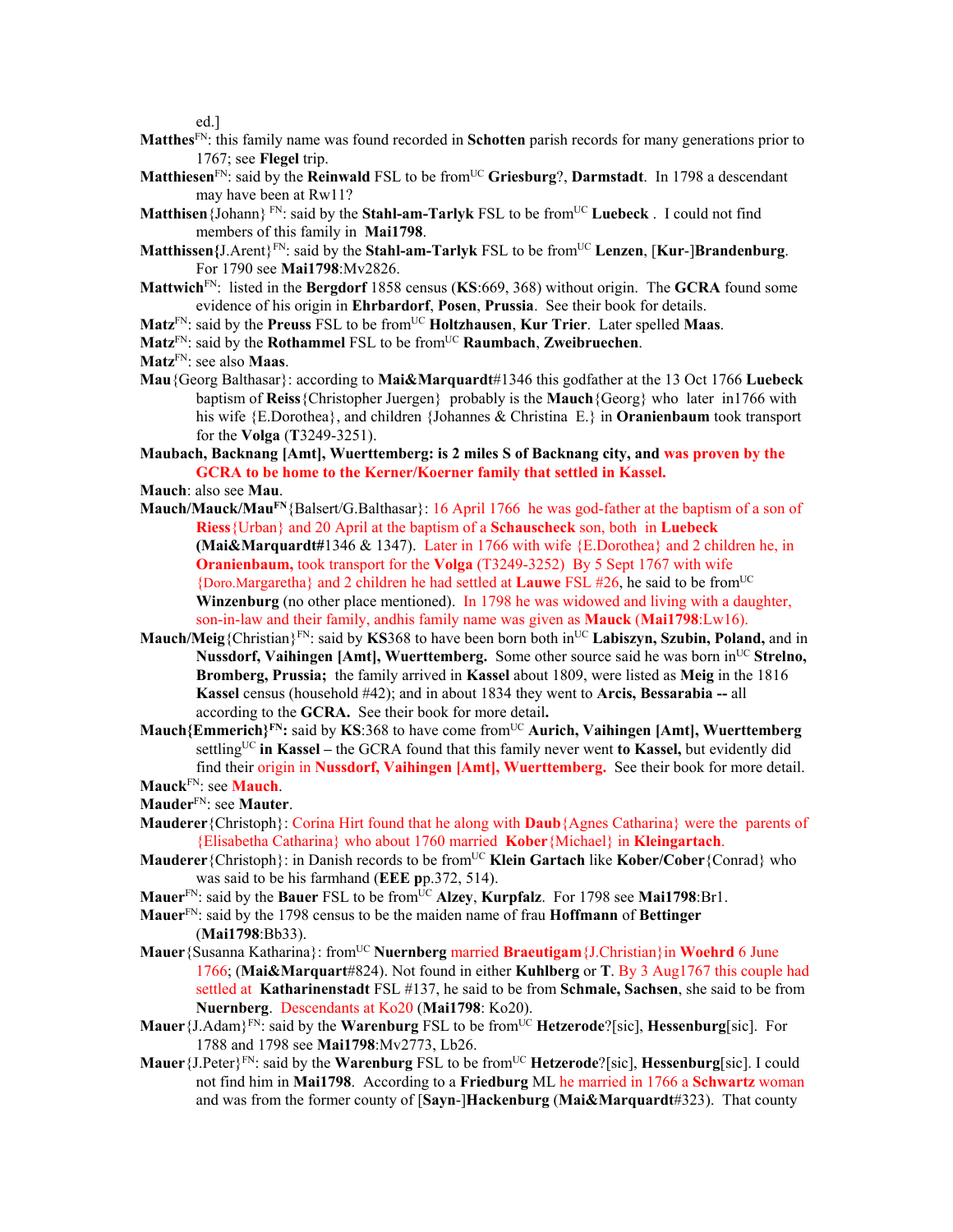ed.]

- **Matthes**FN: this family name was found recorded in **Schotten** parish records for many generations prior to 1767; see **Flegel** trip.
- **Matthiesen**<sup>FN</sup>: said by the **Reinwald** FSL to be from<sup>UC</sup> Griesburg?, Darmstadt. In 1798 a descendant may have been at Rw11?
- Matthisen {Johann} FN: said by the Stahl-am-Tarlyk FSL to be from<sup>UC</sup> Luebeck . I could not find members of this family in **Mai1798**.
- **Matthissen{**J.Arent}FN: said by the **Stahl-am-Tarlyk** FSL to be fromUC **Lenzen**, [**Kur**-]**Brandenburg**. For 1790 see **Mai1798**:Mv2826.
- **Mattwich**FN: listed in the **Bergdorf** 1858 census (**KS**:669, 368) without origin. The **GCRA** found some evidence of his origin in **Ehrbardorf**, **Posen**, **Prussia**. See their book for details.
- **Matz**FN: said by the **Preuss** FSL to be fromUC **Holtzhausen**, **Kur Trier**.Later spelled **Maas**.
- **Matz**FN: said by the **Rothammel** FSL to be fromUC **Raumbach**, **Zweibruechen**.
- **Matz**FN: see also **Maas**.
- **Mau**{Georg Balthasar}: according to **Mai&Marquardt**#1346 this godfather at the 13 Oct 1766 **Luebeck**  baptism of **Reiss**{Christopher Juergen} probably is the **Mauch**{Georg} who later in1766 with his wife {E.Dorothea}, and children {Johannes & Christina E.} in **Oranienbaum** took transport for the **Volga** (**T**3249-3251).
- **Maubach, Backnang [Amt], Wuerttemberg: is 2 miles S of Backnang city, and was proven by the GCRA to be home to the Kerner/Koerner family that settled in Kassel.**
- **Mauch**: also see **Mau**.
- Mauch/Mauck/Mau<sup>FN</sup>{Balsert/G.Balthasar}: 16 April 1766 he was god-father at the baptism of a son of **Riess**{Urban} and 20 April at the baptism of a **Schauscheck** son, both in **Luebeck (Mai&Marquardt#**1346 & 1347).Later in 1766 with wife {E.Dorothea} and 2 children he, in **Oranienbaum,** took transport for the **Volga** (T3249-3252) By 5 Sept 1767 with wife {Doro.Margaretha} and 2 children he had settled at **Lauwe** FSL #26, he said to be fromUC **Winzenburg** (no other place mentioned). In 1798 he was widowed and living with a daughter, son-in-law and their family, andhis family name was given as **Mauck** (**Mai1798**:Lw16).
- **Mauch/Meig**{Christian}<sup>FN</sup>: said by **KS**368 to have been born both in<sup>UC</sup> Labiszyn, Szubin, Poland, and in **Nussdorf, Vaihingen [Amt], Wuerttemberg.** Some other source said he was born in<sup>UC</sup> Strelno, **Bromberg, Prussia;** the family arrived in **Kassel** about 1809, were listed as **Meig** in the 1816 **Kassel** census (household #42); and in about 1834 they went to **Arcis, Bessarabia --** all according to the **GCRA.** See their book for more detail**.**
- **Mauch{Emmerich}FN:** said by **KS**:368 to have come fromUC **Aurich, Vaihingen [Amt], Wuerttemberg**  settlingUC **in Kassel –** the GCRA found that this family never went **to Kassel,** but evidently did find their origin in **Nussdorf, Vaihingen [Amt], Wuerttemberg.** See their book for more detail. **Mauck**FN: see **Mauch**.
- **Mauder**FN: see **Mauter**.
- **Mauderer**{Christoph}: Corina Hirt found that he along with **Daub**{Agnes Catharina} were the parents of {Elisabetha Catharina} who about 1760 married **Kober**{Michael} in **Kleingartach**.
- **Mauderer** {Christoph}: in Danish records to be from<sup>UC</sup> **Klein Gartach** like **Kober/Cober** {Conrad} who was said to be his farmhand (**EEE p**p.372, 514).
- **Mauer**FN: said by the **Bauer** FSL to be fromUC **Alzey**, **Kurpfalz**. For 1798 see **Mai1798**:Br1.
- **Mauer**FN: said by the 1798 census to be the maiden name of frau **Hoffmann** of **Bettinger** (**Mai1798**:Bb33).
- **Mauer**{Susanna Katharina}: fromUC **Nuernberg** married **Braeutigam**{J.Christian}in **Woehrd** 6 June 1766; (**Mai&Marquart**#824). Not found in either **Kuhlberg** or **T**. By 3 Aug1767 this couple had settled at **Katharinenstadt** FSL #137, he said to be from **Schmale, Sachsen**, she said to be from **Nuernberg**. Descendants at Ko20 (**Mai1798**: Ko20).
- **Mauer**{J.Adam}<sup>FN</sup>: said by the **Warenburg** FSL to be from<sup>UC</sup> **Hetzerode**?[sic], **Hessenburg**[sic]. For 1788 and 1798 see **Mai1798**:Mv2773, Lb26.
- **Mauer**{J.Peter}FN: said by the **Warenburg** FSL to be fromUC **Hetzerode**?[sic], **Hessenburg**[sic]. I could not find him in **Mai1798**. According to a **Friedburg** ML he married in 1766 a **Schwartz** woman and was from the former county of [**Sayn**-]**Hackenburg** (**Mai&Marquardt**#323). That county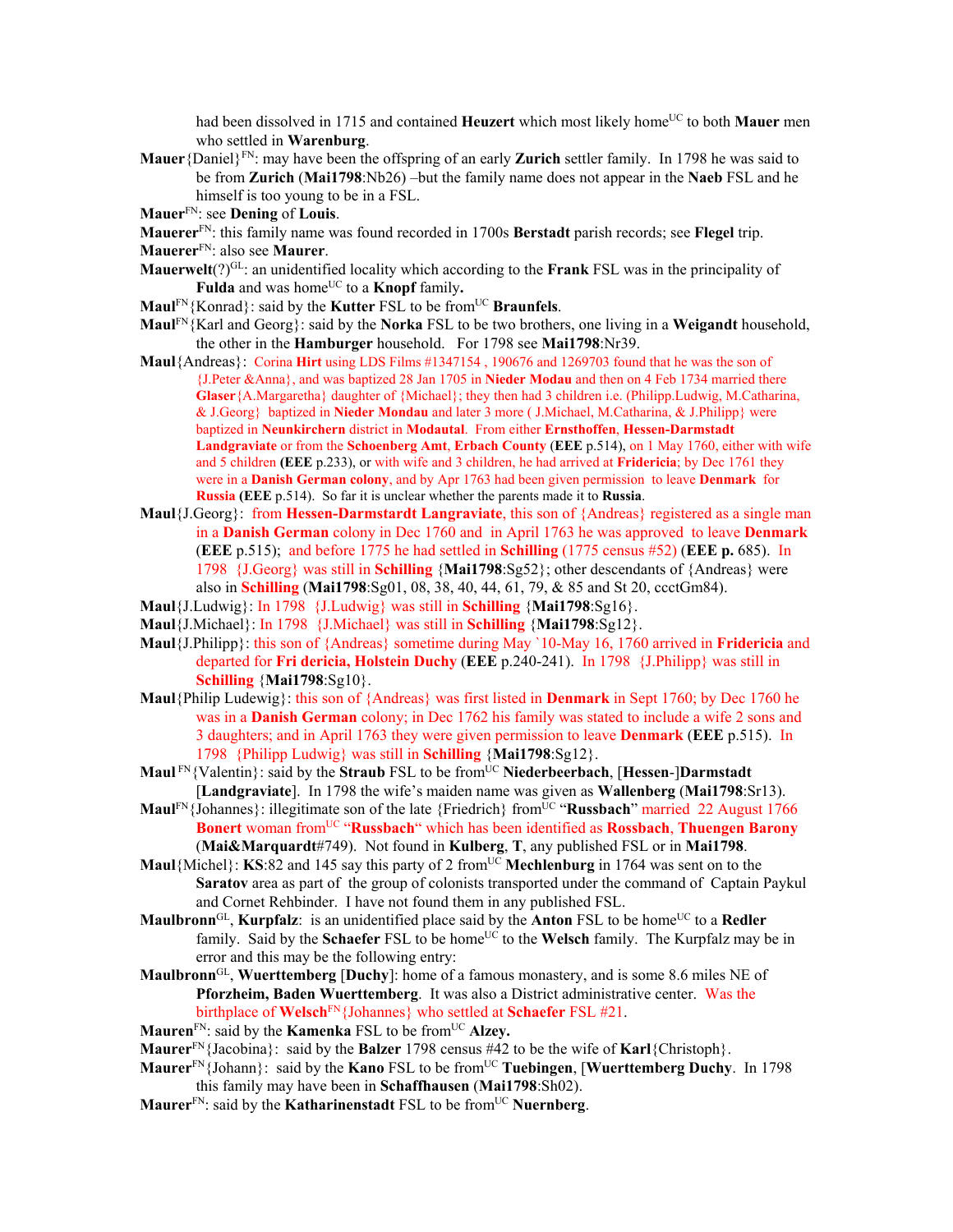had been dissolved in 1715 and contained **Heuzert** which most likely home<sup>UC</sup> to both **Mauer** men who settled in **Warenburg**.

- **Mauer**{Daniel}FN: may have been the offspring of an early **Zurich** settler family. In 1798 he was said to be from **Zurich** (**Mai1798**:Nb26) –but the family name does not appear in the **Naeb** FSL and he himself is too young to be in a FSL.
- **Mauer**FN: see **Dening** of **Louis**.

**Mauerer**FN: this family name was found recorded in 1700s **Berstadt** parish records; see **Flegel** trip. **Mauerer**FN: also see **Maurer**.

- **Mauerwelt**( $?$ )<sup>GL</sup>: an unidentified locality which according to the **Frank** FSL was in the principality of Fulda and was home<sup>UC</sup> to a **Knopf** family.
- **Maul<sup>FN</sup>**{Konrad}: said by the **Kutter** FSL to be from<sup>UC</sup> **Braunfels**.
- **Maul**FN{Karl and Georg}: said by the **Norka** FSL to be two brothers, one living in a **Weigandt** household, the other in the **Hamburger** household. For 1798 see **Mai1798**:Nr39.
- **Maul**{Andreas}: Corina **Hirt** using LDS Films #1347154 , 190676 and 1269703 found that he was the son of {J.Peter &Anna}, and was baptized 28 Jan 1705 in **Nieder Modau** and then on 4 Feb 1734 married there **Glaser**{A.Margaretha} daughter of {Michael}; they then had 3 children i.e. (Philipp.Ludwig, M.Catharina, & J.Georg} baptized in **Nieder Mondau** and later 3 more ( J.Michael, M.Catharina, & J.Philipp} were baptized in **Neunkirchern** district in **Modautal**. From either **Ernsthoffen**, **Hessen-Darmstadt Landgraviate** or from the **Schoenberg Amt**, **Erbach County** (**EEE** p.514), on 1 May 1760, either with wife and 5 children **(EEE** p.233), or with wife and 3 children, he had arrived at **Fridericia**; by Dec 1761 they were in a **Danish German colony**, and by Apr 1763 had been given permission to leave **Denmark** for **Russia (EEE** p.514). So far it is unclear whether the parents made it to **Russia**.
- **Maul**{J.Georg}:from **Hessen-Darmstardt Langraviate**, this son of {Andreas} registered as a single man in a **Danish German** colony in Dec 1760 and in April 1763 he was approved to leave **Denmark** (**EEE** p.515); and before 1775 he had settled in **Schilling** (1775 census #52) (**EEE p.** 685). In 1798 {J.Georg} was still in **Schilling** {**Mai1798**:Sg52}; other descendants of {Andreas} were also in **Schilling** (**Mai1798**:Sg01, 08, 38, 40, 44, 61, 79, & 85 and St 20, ccctGm84).
- **Maul**{J.Ludwig}: In 1798 {J.Ludwig} was still in **Schilling** {**Mai1798**:Sg16}.
- **Maul**{J.Michael}: In 1798 {J.Michael} was still in **Schilling** {**Mai1798**:Sg12}.
- **Maul**{J.Philipp}: this son of {Andreas} sometime during May `10-May 16, 1760 arrived in **Fridericia** and departed for **Fri dericia, Holstein Duchy** (**EEE** p.240-241). In 1798 {J.Philipp} was still in **Schilling** {**Mai1798**:Sg10}.
- **Maul**{Philip Ludewig}: this son of {Andreas} was first listed in **Denmark** in Sept 1760; by Dec 1760 he was in a **Danish German** colony; in Dec 1762 his family was stated to include a wife 2 sons and 3 daughters; and in April 1763 they were given permission to leave **Denmark** (**EEE** p.515). In 1798 {Philipp Ludwig} was still in **Schilling** {**Mai1798**:Sg12}.
- **Maul** FN{Valentin}: said by the **Straub** FSL to be fromUC **Niederbeerbach**, [**Hessen**-]**Darmstadt** [**Landgraviate**]. In 1798 the wife's maiden name was given as **Wallenberg** (**Mai1798**:Sr13).
- **Maul**FN{Johannes}: illegitimate son of the late {Friedrich} fromUC "**Russbach**" married 22 August 1766 **Bonert** woman fromUC "**Russbach**" which has been identified as **Rossbach**, **Thuengen Barony** (**Mai&Marquardt**#749). Not found in **Kulberg**, **T**, any published FSL or in **Mai1798**.
- **Maul**{Michel}: **KS**:82 and 145 say this party of 2 from<sup>UC</sup> Mechlenburg in 1764 was sent on to the **Saratov** area as part of the group of colonists transported under the command of Captain Paykul and Cornet Rehbinder. I have not found them in any published FSL.
- **Maulbronn**<sup>GL</sup>, **Kurpfalz**: is an unidentified place said by the **Anton** FSL to be home<sup>UC</sup> to a **Redler** family. Said by the **Schaefer** FSL to be home<sup>UC</sup> to the Welsch family. The Kurpfalz may be in error and this may be the following entry:
- **Maulbronn**GL, **Wuerttemberg** [**Duchy**]: home of a famous monastery, and is some 8.6 miles NE of **Pforzheim, Baden Wuerttemberg**. It was also a District administrative center. Was the birthplace of **Welsch**FN{Johannes} who settled at **Schaefer** FSL #21.
- **Mauren**<sup>FN</sup>: said by the **Kamenka** FSL to be from<sup>UC</sup> Alzey.
- **Maurer**FN{Jacobina}: said by the **Balzer** 1798 census #42 to be the wife of **Karl**{Christoph}.
- **Maurer**FN{Johann}: said by the **Kano** FSL to be fromUC **Tuebingen**, [**Wuerttemberg Duchy**. In 1798 this family may have been in **Schaffhausen** (**Mai1798**:Sh02).
- **Maurer**<sup>FN</sup>: said by the **Katharinenstadt** FSL to be from<sup>UC</sup> **Nuernberg**.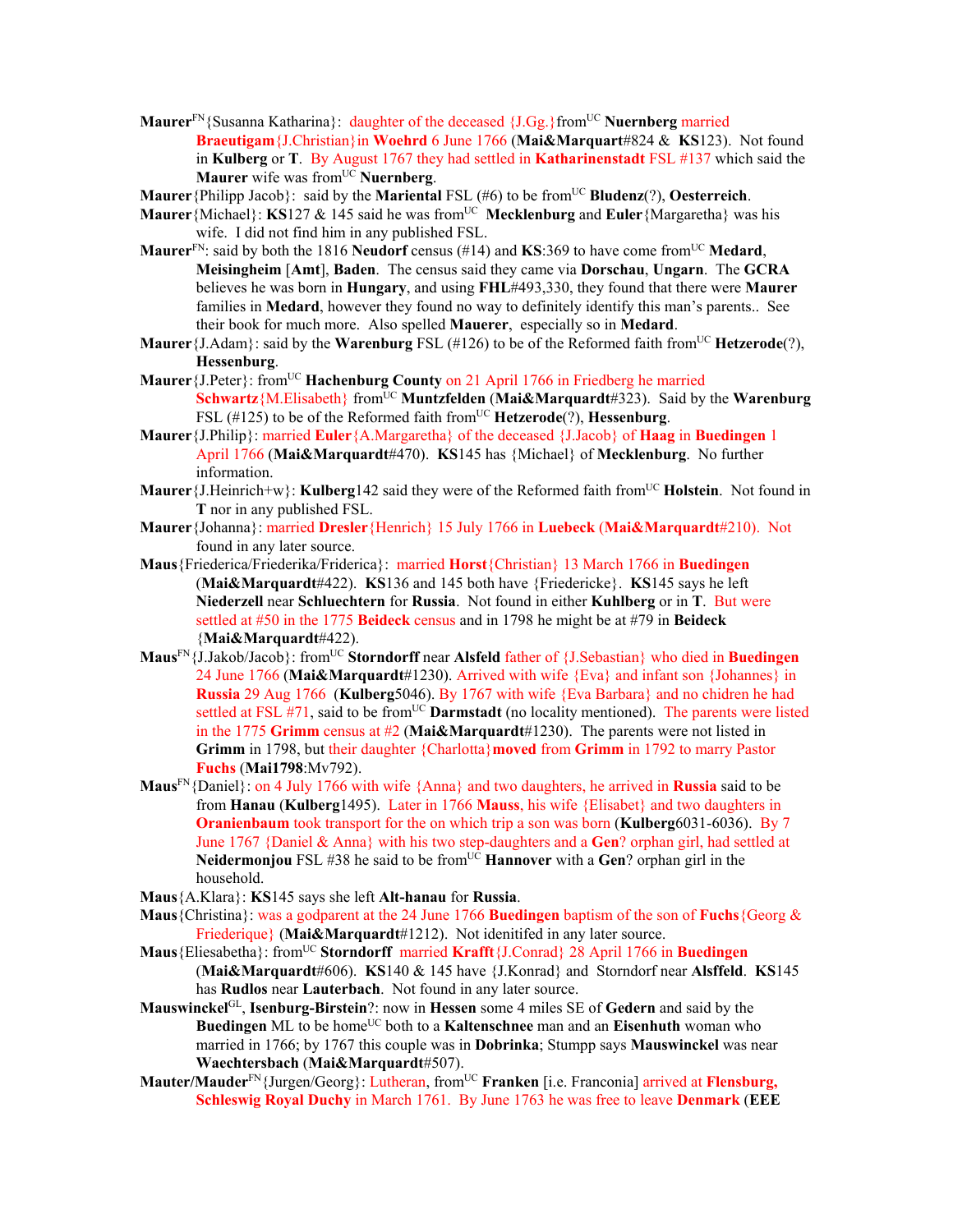- **Maurer**<sup>FN</sup>{Susanna Katharina}: daughter of the deceased {*J*.Gg.}from<sup>UC</sup> **Nuernberg** married **Braeutigam**{J.Christian}in **Woehrd** 6 June 1766 (**Mai&Marquart**#824 & **KS**123). Not found in **Kulberg** or **T**. By August 1767 they had settled in **Katharinenstadt** FSL #137 which said the **Maurer** wife was from<sup>UC</sup> **Nuernberg**.
- **Maurer**{Philipp Jacob}: said by the **Mariental** FSL (#6) to be from<sup>UC</sup> **Bludenz**(?), **Oesterreich**.
- **Maurer** {Michael}: **KS**127 & 145 said he was from<sup>UC</sup> Mecklenburg and Euler {Margaretha} was his wife. I did not find him in any published FSL.
- **Maurer**<sup>FN</sup>: said by both the 1816 **Neudorf** census (#14) and **KS**:369 to have come from<sup>UC</sup> **Medard**, **Meisingheim** [**Amt**], **Baden**. The census said they came via **Dorschau**, **Ungarn**. The **GCRA** believes he was born in **Hungary**, and using **FHL**#493,330, they found that there were **Maurer** families in **Medard**, however they found no way to definitely identify this man's parents.. See their book for much more. Also spelled **Mauerer**, especially so in **Medard**.
- **Maurer** {J.Adam}: said by the **Warenburg** FSL (#126) to be of the Reformed faith from<sup>UC</sup> **Hetzerode**(?), **Hessenburg**.
- **Maurer** {J.Peter}: from<sup>UC</sup> **Hachenburg County** on 21 April 1766 in Friedberg he married **Schwartz**{M.Elisabeth} fromUC **Muntzfelden** (**Mai&Marquardt**#323). Said by the **Warenburg** FSL (#125) to be of the Reformed faith from<sup>UC</sup> Hetzerode(?), Hessenburg.
- **Maurer**{J.Philip}: married **Euler**{A.Margaretha} of the deceased {J.Jacob} of **Haag** in **Buedingen** 1 April 1766 (**Mai&Marquardt**#470). **KS**145 has {Michael} of **Mecklenburg**. No further information.
- **Maurer**{J.Heinrich+w}: **Kulberg**142 said they were of the Reformed faith fromUC **Holstein**. Not found in **T** nor in any published FSL.
- **Maurer**{Johanna}: married **Dresler**{Henrich} 15 July 1766 in **Luebeck** (**Mai&Marquardt**#210). Not found in any later source.
- **Maus**{Friederica/Friederika/Friderica}: married **Horst**{Christian} 13 March 1766 in **Buedingen**  (**Mai&Marquardt**#422). **KS**136 and 145 both have {Friedericke}. **KS**145 says he left **Niederzell** near **Schluechtern** for **Russia**. Not found in either **Kuhlberg** or in **T**. But were settled at #50 in the 1775 **Beideck** census and in 1798 he might be at #79 in **Beideck** {**Mai&Marquardt**#422).
- **Maus**FN{J.Jakob/Jacob}: fromUC **Storndorff** near **Alsfeld** father of {J.Sebastian} who died in **Buedingen**  24 June 1766 (**Mai&Marquardt**#1230). Arrived with wife {Eva} and infant son {Johannes} in **Russia** 29 Aug 1766 (**Kulberg**5046). By 1767 with wife {Eva Barbara} and no chidren he had settled at FSL #71, said to be from<sup>UC</sup> **Darmstadt** (no locality mentioned). The parents were listed in the 1775 **Grimm** census at #2 (**Mai&Marquardt**#1230). The parents were not listed in **Grimm** in 1798, but their daughter {Charlotta}**moved** from **Grimm** in 1792 to marry Pastor **Fuchs** (**Mai1798**:Mv792).
- **Maus**FN{Daniel}: on 4 July 1766 with wife {Anna} and two daughters, he arrived in **Russia** said to be from **Hanau** (**Kulberg**1495). Later in 1766 **Mauss**, his wife {Elisabet} and two daughters in **Oranienbaum** took transport for the on which trip a son was born (**Kulberg**6031-6036). By 7 June 1767 {Daniel & Anna} with his two step-daughters and a **Gen**? orphan girl, had settled at **Neidermonjou** FSL #38 he said to be from<sup>UC</sup> **Hannover** with a Gen? orphan girl in the household.
- **Maus**{A.Klara}: **KS**145 says she left **Alt-hanau** for **Russia**.
- **Maus**{Christina}: was a godparent at the 24 June 1766 **Buedingen** baptism of the son of **Fuchs**{Georg & Friederique} (**Mai&Marquardt**#1212). Not idenitifed in any later source.
- **Maus**{Eliesabetha}: fromUC **Storndorff** married **Krafft**{J.Conrad} 28 April 1766 in **Buedingen**  (**Mai&Marquardt**#606). **KS**140 & 145 have {J.Konrad} and Storndorf near **Alsffeld**. **KS**145 has **Rudlos** near **Lauterbach**. Not found in any later source.
- **Mauswinckel**GL, **Isenburg-Birstein**?: now in **Hessen** some 4 miles SE of **Gedern** and said by the **Buedingen** ML to be home<sup>UC</sup> both to a **Kaltenschnee** man and an **Eisenhuth** woman who married in 1766; by 1767 this couple was in **Dobrinka**; Stumpp says **Mauswinckel** was near **Waechtersbach** (**Mai&Marquardt**#507).
- **Mauter/Mauder**FN{Jurgen/Georg}: Lutheran, fromUC **Franken** [i.e. Franconia] arrived at **Flensburg, Schleswig Royal Duchy** in March 1761. By June 1763 he was free to leave **Denmark** (**EEE**